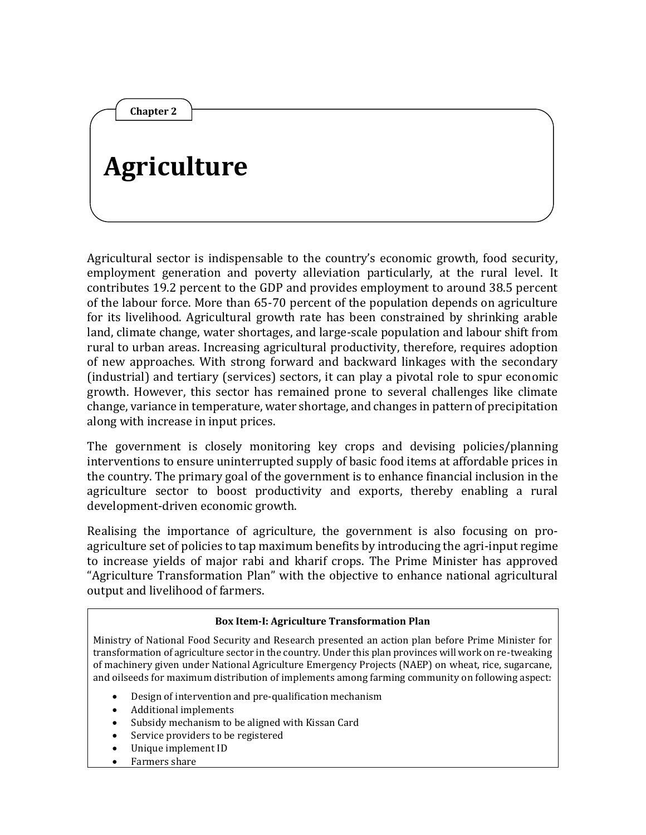# **Agriculture**

**Chapter 2**

Agricultural sector is indispensable to the country's economic growth, food security, employment generation and poverty alleviation particularly, at the rural level. It contributes 19.2 percent to the GDP and provides employment to around 38.5 percent of the labour force. More than 65-70 percent of the population depends on agriculture for its livelihood. Agricultural growth rate has been constrained by shrinking arable land, climate change, water shortages, and large-scale population and labour shift from rural to urban areas. Increasing agricultural productivity, therefore, requires adoption of new approaches. With strong forward and backward linkages with the secondary (industrial) and tertiary (services) sectors, it can play a pivotal role to spur economic growth. However, this sector has remained prone to several challenges like climate change, variance in temperature, water shortage, and changes in pattern of precipitation along with increase in input prices.

The government is closely monitoring key crops and devising policies/planning interventions to ensure uninterrupted supply of basic food items at affordable prices in the country. The primary goal of the government is to enhance financial inclusion in the agriculture sector to boost productivity and exports, thereby enabling a rural development-driven economic growth.

Realising the importance of agriculture, the government is also focusing on proagriculture set of policies to tap maximum benefits by introducing the agri-input regime to increase yields of major rabi and kharif crops. The Prime Minister has approved "Agriculture Transformation Plan" with the objective to enhance national agricultural output and livelihood of farmers.

#### **Box Item-I: Agriculture Transformation Plan**

Ministry of National Food Security and Research presented an action plan before Prime Minister for transformation of agriculture sector in the country. Under this plan provinces will work on re-tweaking of machinery given under National Agriculture Emergency Projects (NAEP) on wheat, rice, sugarcane, and oilseeds for maximum distribution of implements among farming community on following aspect:

- Design of intervention and pre-qualification mechanism
- Additional implements
- Subsidy mechanism to be aligned with Kissan Card
- Service providers to be registered
- Unique implement ID
- Farmers share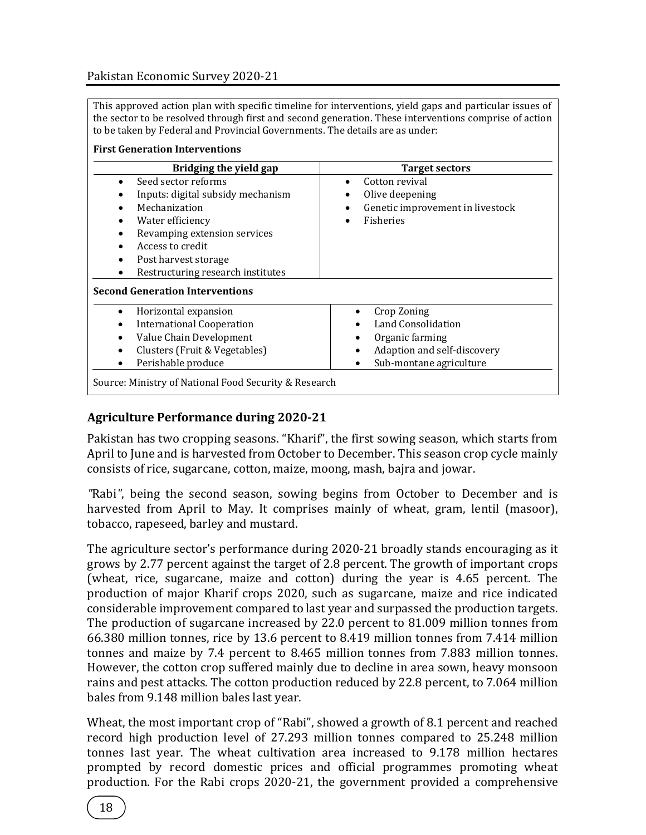#### Pakistan Economic Survey 2020-21

This approved action plan with specific timeline for interventions, yield gaps and particular issues of the sector to be resolved through first and second generation. These interventions comprise of action to be taken by Federal and Provincial Governments. The details are as under:

#### **First Generation Interventions**

| Bridging the yield gap                                                                                                                                                                                                   | Target sectors                                                                                                 |
|--------------------------------------------------------------------------------------------------------------------------------------------------------------------------------------------------------------------------|----------------------------------------------------------------------------------------------------------------|
| Seed sector reforms<br>Inputs: digital subsidy mechanism<br>Mechanization<br>Water efficiency<br>Revamping extension services<br>Access to credit<br>Post harvest storage<br>٠<br>Restructuring research institutes<br>٠ | Cotton revival<br>Olive deepening<br>٠<br>Genetic improvement in livestock<br>٠<br>Fisheries                   |
| <b>Second Generation Interventions</b>                                                                                                                                                                                   |                                                                                                                |
| Horizontal expansion<br>$\bullet$<br><b>International Cooperation</b><br>Value Chain Development<br>Clusters (Fruit & Vegetables)<br>Perishable produce                                                                  | Crop Zoning<br>Land Consolidation<br>Organic farming<br>Adaption and self-discovery<br>Sub-montane agriculture |

#### **Agriculture Performance during 2020-21**

Pakistan has two cropping seasons. "Kharif", the first sowing season, which starts from April to June and is harvested from October to December. This season crop cycle mainly consists of rice, sugarcane, cotton, maize, moong, mash, bajra and jowar.

*"*Rabi*"*, being the second season, sowing begins from October to December and is harvested from April to May. It comprises mainly of wheat, gram, lentil (masoor), tobacco, rapeseed, barley and mustard.

The agriculture sector's performance during 2020-21 broadly stands encouraging as it grows by 2.77 percent against the target of 2.8 percent. The growth of important crops (wheat, rice, sugarcane, maize and cotton) during the year is 4.65 percent. The production of major Kharif crops 2020, such as sugarcane, maize and rice indicated considerable improvement compared to last year and surpassed the production targets. The production of sugarcane increased by 22.0 percent to 81.009 million tonnes from 66.380 million tonnes, rice by 13.6 percent to 8.419 million tonnes from 7.414 million tonnes and maize by 7.4 percent to 8.465 million tonnes from 7.883 million tonnes. However, the cotton crop suffered mainly due to decline in area sown, heavy monsoon rains and pest attacks. The cotton production reduced by 22.8 percent, to 7.064 million bales from 9.148 million bales last year.

Wheat, the most important crop of "Rabi", showed a growth of 8.1 percent and reached record high production level of 27.293 million tonnes compared to 25.248 million tonnes last year. The wheat cultivation area increased to 9.178 million hectares prompted by record domestic prices and official programmes promoting wheat production. For the Rabi crops 2020-21, the government provided a comprehensive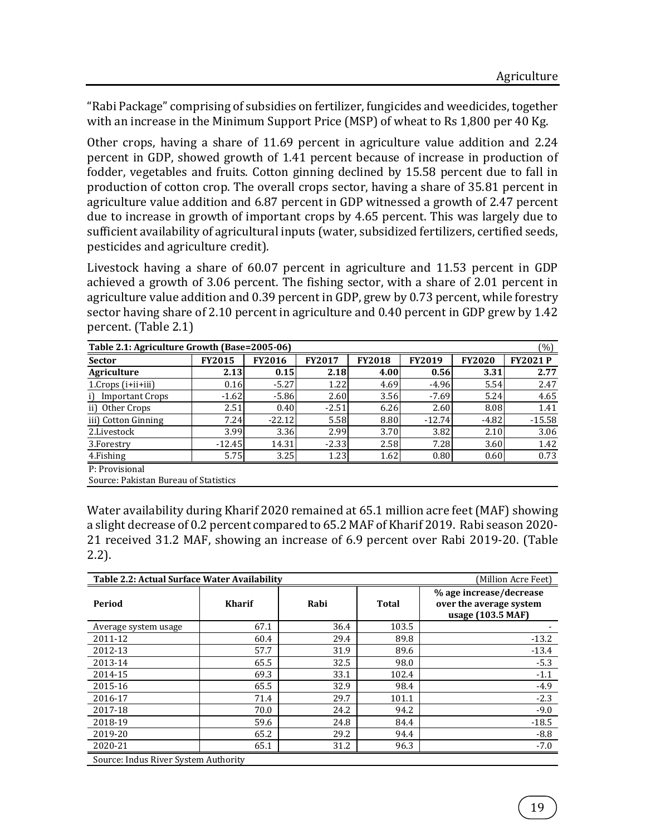"Rabi Package" comprising of subsidies on fertilizer, fungicides and weedicides, together with an increase in the Minimum Support Price (MSP) of wheat to Rs 1,800 per 40 Kg.

Other crops, having a share of 11.69 percent in agriculture value addition and 2.24 percent in GDP, showed growth of 1.41 percent because of increase in production of fodder, vegetables and fruits. Cotton ginning declined by 15.58 percent due to fall in production of cotton crop. The overall crops sector, having a share of 35.81 percent in agriculture value addition and 6.87 percent in GDP witnessed a growth of 2.47 percent due to increase in growth of important crops by 4.65 percent. This was largely due to sufficient availability of agricultural inputs (water, subsidized fertilizers, certified seeds, pesticides and agriculture credit).

Livestock having a share of 60.07 percent in agriculture and 11.53 percent in GDP achieved a growth of 3.06 percent. The fishing sector, with a share of 2.01 percent in agriculture value addition and 0.39 percent in GDP, grew by 0.73 percent, while forestry sector having share of 2.10 percent in agriculture and 0.40 percent in GDP grew by 1.42 percent. (Table 2.1)

| (%)<br>Table 2.1: Agriculture Growth (Base=2005-06) |               |               |               |               |               |               |                |  |  |
|-----------------------------------------------------|---------------|---------------|---------------|---------------|---------------|---------------|----------------|--|--|
| <b>Sector</b>                                       | <b>FY2015</b> | <b>FY2016</b> | <b>FY2017</b> | <b>FY2018</b> | <b>FY2019</b> | <b>FY2020</b> | <b>FY2021P</b> |  |  |
| Agriculture                                         | 2.13          | 0.15          | 2.18          | 4.00          | 0.56          | 3.31          | 2.77           |  |  |
| 1.Crops (i+ii+iii)                                  | 0.16          | $-5.27$       | 1.22          | 4.69          | $-4.96$       | 5.54          | 2.47           |  |  |
| <b>Important Crops</b><br>i)                        | $-1.62$       | $-5.86$       | 2.60          | 3.56          | $-7.69$       | 5.24          | 4.65           |  |  |
| $\mathbf{ii}$<br>Other Crops                        | 2.51          | 0.40          | $-2.51$       | 6.26          | 2.60          | 8.08          | 1.41           |  |  |
| iii) Cotton Ginning                                 | 7.24          | $-22.12$      | 5.58          | 8.80          | $-12.74$      | $-4.82$       | $-15.58$       |  |  |
| 2.Livestock                                         | 3.99          | 3.36          | 2.99          | 3.70          | 3.82          | 2.10          | 3.06           |  |  |
| 3.Forestry                                          | $-12.45$      | 14.31         | $-2.33$       | 2.58          | 7.28          | 3.60          | 1.42           |  |  |
| 4. Fishing                                          | 5.75          | 3.25          | 1.23          | 1.62          | 0.80          | 0.60          | 0.73           |  |  |
| P: Provisional                                      |               |               |               |               |               |               |                |  |  |

Source: Pakistan Bureau of Statistics

Water availability during Kharif 2020 remained at 65.1 million acre feet (MAF) showing a slight decrease of 0.2 percent compared to 65.2 MAF of Kharif 2019. Rabi season 2020- 21 received 31.2 MAF, showing an increase of 6.9 percent over Rabi 2019-20. (Table 2.2).

| Table 2.2: Actual Surface Water Availability |               |      |              | (Million Acre Feet)                                                     |
|----------------------------------------------|---------------|------|--------------|-------------------------------------------------------------------------|
| Period                                       | <b>Kharif</b> | Rabi | <b>Total</b> | % age increase/decrease<br>over the average system<br>usage (103.5 MAF) |
| Average system usage                         | 67.1          | 36.4 | 103.5        |                                                                         |
| 2011-12                                      | 60.4          | 29.4 | 89.8         | $-13.2$                                                                 |
| 2012-13                                      | 57.7          | 31.9 | 89.6         | $-13.4$                                                                 |
| 2013-14                                      | 65.5          | 32.5 | 98.0         | $-5.3$                                                                  |
| 2014-15                                      | 69.3          | 33.1 | 102.4        | $-1.1$                                                                  |
| 2015-16                                      | 65.5          | 32.9 | 98.4         | $-4.9$                                                                  |
| 2016-17                                      | 71.4          | 29.7 | 101.1        | $-2.3$                                                                  |
| 2017-18                                      | 70.0          | 24.2 | 94.2         | $-9.0$                                                                  |
| 2018-19                                      | 59.6          | 24.8 | 84.4         | $-18.5$                                                                 |
| 2019-20                                      | 65.2          | 29.2 | 94.4         | $-8.8$                                                                  |
| 2020-21                                      | 65.1          | 31.2 | 96.3         | $-7.0$                                                                  |
| Source: Indus River System Authority         |               |      |              |                                                                         |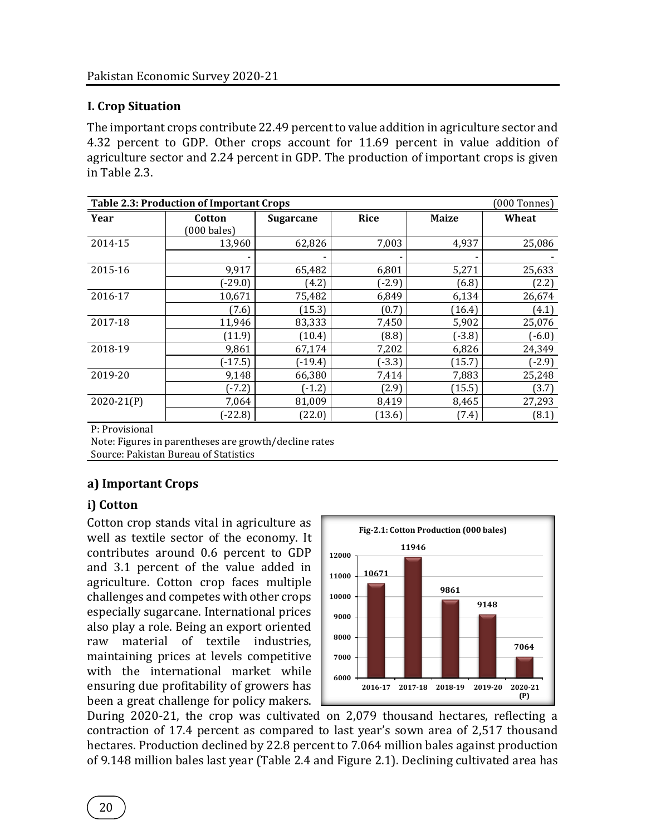# **I. Crop Situation**

The important crops contribute 22.49 percent to value addition in agriculture sector and 4.32 percent to GDP. Other crops account for 11.69 percent in value addition of agriculture sector and 2.24 percent in GDP. The production of important crops is given in Table 2.3.

| <b>Table 2.3: Production of Important Crops</b><br>$(000$ Tonnes) |                       |                  |             |              |          |  |  |  |
|-------------------------------------------------------------------|-----------------------|------------------|-------------|--------------|----------|--|--|--|
| Year                                                              | Cotton                | <b>Sugarcane</b> | <b>Rice</b> | <b>Maize</b> | Wheat    |  |  |  |
|                                                                   | $(000 \text{ bales})$ |                  |             |              |          |  |  |  |
| 2014-15                                                           | 13,960                | 62,826           | 7,003       | 4,937        | 25,086   |  |  |  |
|                                                                   |                       |                  |             |              |          |  |  |  |
| 2015-16                                                           | 9,917                 | 65,482           | 6,801       | 5,271        | 25,633   |  |  |  |
|                                                                   | $(-29.0)$             | (4.2)            | $(-2.9)$    | (6.8)        | (2.2)    |  |  |  |
| 2016-17                                                           | 10,671                | 75,482           | 6,849       | 6,134        | 26,674   |  |  |  |
|                                                                   | (7.6)                 | (15.3)           | (0.7)       | (16.4)       | (4.1)    |  |  |  |
| 2017-18                                                           | 11,946                | 83,333           | 7,450       | 5,902        | 25,076   |  |  |  |
|                                                                   | (11.9)                | (10.4)           | (8.8)       | $(-3.8)$     | $(-6.0)$ |  |  |  |
| 2018-19                                                           | 9,861                 | 67,174           | 7,202       | 6,826        | 24,349   |  |  |  |
|                                                                   | $(-17.5)$             | $(-19.4)$        | $(-3.3)$    | (15.7)       | $(-2.9)$ |  |  |  |
| 2019-20                                                           | 9,148                 | 66,380           | 7,414       | 7,883        | 25,248   |  |  |  |
|                                                                   | $-7.2$                | $(-1.2)$         | (2.9)       | (15.5)       | (3.7)    |  |  |  |
| $2020 - 21(P)$                                                    | 7,064                 | 81,009           | 8,419       | 8,465        | 27,293   |  |  |  |
|                                                                   | $-22.8$               | (22.0)           | (13.6)      | (7.4)        | (8.1)    |  |  |  |

P: Provisional

Note: Figures in parentheses are growth/decline rates Source: Pakistan Bureau of Statistics

## **a) Important Crops**

## **i) Cotton**

Cotton crop stands vital in agriculture as well as textile sector of the economy. It contributes around 0.6 percent to GDP and 3.1 percent of the value added in agriculture. Cotton crop faces multiple challenges and competes with other crops especially sugarcane. International prices also play a role. Being an export oriented raw material of textile industries, maintaining prices at levels competitive with the international market while ensuring due profitability of growers has been a great challenge for policy makers.



During 2020-21, the crop was cultivated on 2,079 thousand hectares, reflecting a contraction of 17.4 percent as compared to last year's sown area of 2,517 thousand hectares. Production declined by 22.8 percent to 7.064 million bales against production of 9.148 million bales last year (Table 2.4 and Figure 2.1). Declining cultivated area has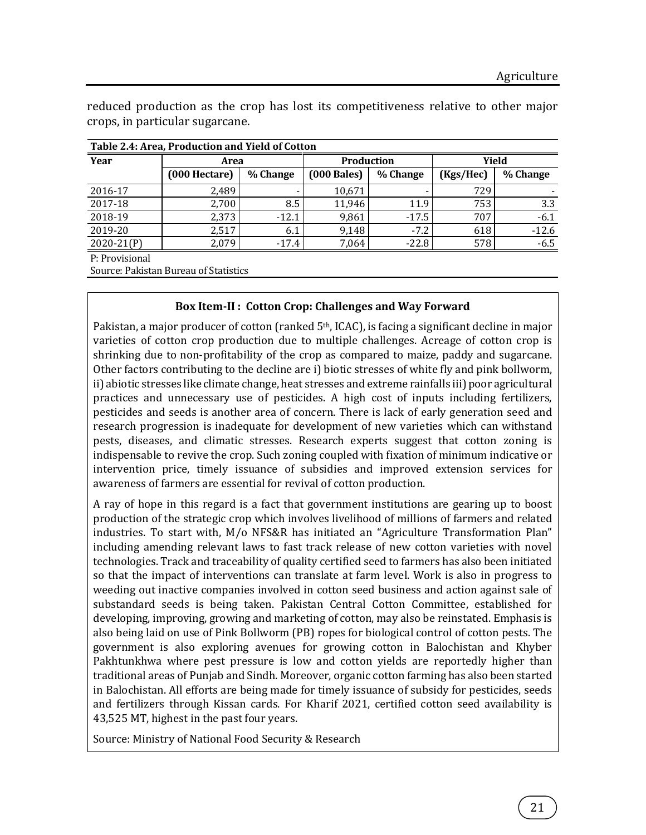| Table 2.4: Area, Production and Yield of Cotton |                           |          |               |          |           |          |  |  |  |  |
|-------------------------------------------------|---------------------------|----------|---------------|----------|-----------|----------|--|--|--|--|
| Year                                            | <b>Production</b><br>Area |          |               | Yield    |           |          |  |  |  |  |
|                                                 | (000 Hectare)             | % Change | $(000$ Bales) | % Change | (Kgs/Hec) | % Change |  |  |  |  |
| 2016-17                                         | 2,489                     |          | 10,671        |          | 729       |          |  |  |  |  |
| 2017-18                                         | 2,700                     | 8.5      | 11,946        | 11.9     | 753       | 3.3      |  |  |  |  |
| 2018-19                                         | 2,373                     | $-12.1$  | 9,861         | $-17.5$  | 707       | $-6.1$   |  |  |  |  |
| 2019-20                                         | 2,517                     | 6.1      | 9,148         | $-7.2$   | 618       | $-12.6$  |  |  |  |  |
| $2020 - 21(P)$                                  | 2,079                     | $-17.4$  | 7.064         | $-22.8$  | 578       | $-6.5$   |  |  |  |  |
| <b>D</b> . Provisional                          |                           |          |               |          |           |          |  |  |  |  |

reduced production as the crop has lost its competitiveness relative to other major crops, in particular sugarcane.

P: Provisional

Source: Pakistan Bureau of Statistics

#### **Box Item-II : Cotton Crop: Challenges and Way Forward**

Pakistan, a major producer of cotton (ranked 5<sup>th</sup>, ICAC), is facing a significant decline in major varieties of cotton crop production due to multiple challenges. Acreage of cotton crop is shrinking due to non-profitability of the crop as compared to maize, paddy and sugarcane. Other factors contributing to the decline are i) biotic stresses of white fly and pink bollworm, ii) abiotic stresses like climate change, heat stresses and extreme rainfalls iii) poor agricultural practices and unnecessary use of pesticides. A high cost of inputs including fertilizers, pesticides and seeds is another area of concern. There is lack of early generation seed and research progression is inadequate for development of new varieties which can withstand pests, diseases, and climatic stresses. Research experts suggest that cotton zoning is indispensable to revive the crop. Such zoning coupled with fixation of minimum indicative or intervention price, timely issuance of subsidies and improved extension services for awareness of farmers are essential for revival of cotton production.

A ray of hope in this regard is a fact that government institutions are gearing up to boost production of the strategic crop which involves livelihood of millions of farmers and related industries. To start with, M/o NFS&R has initiated an "Agriculture Transformation Plan" including amending relevant laws to fast track release of new cotton varieties with novel technologies. Track and traceability of quality certified seed to farmers has also been initiated so that the impact of interventions can translate at farm level. Work is also in progress to weeding out inactive companies involved in cotton seed business and action against sale of substandard seeds is being taken. Pakistan Central Cotton Committee, established for developing, improving, growing and marketing of cotton, may also be reinstated. Emphasis is also being laid on use of Pink Bollworm (PB) ropes for biological control of cotton pests. The government is also exploring avenues for growing cotton in Balochistan and Khyber Pakhtunkhwa where pest pressure is low and cotton yields are reportedly higher than traditional areas of Punjab and Sindh. Moreover, organic cotton farming has also been started in Balochistan. All efforts are being made for timely issuance of subsidy for pesticides, seeds and fertilizers through Kissan cards. For Kharif 2021, certified cotton seed availability is 43,525 MT, highest in the past four years.

Source: Ministry of National Food Security & Research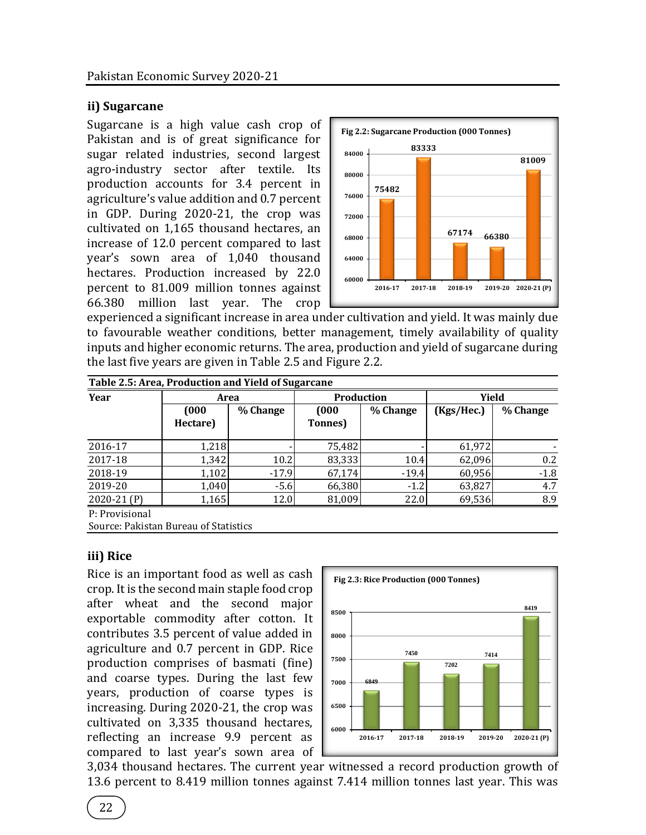## **ii) Sugarcane**

Sugarcane is a high value cash crop of Pakistan and is of great significance for sugar related industries, second largest agro-industry sector after textile. Its production accounts for 3.4 percent in agriculture's value addition and 0.7 percent in GDP. During 2020-21, the crop was cultivated on 1,165 thousand hectares, an increase of 12.0 percent compared to last year's sown area of 1,040 thousand hectares. Production increased by 22.0 percent to 81.009 million tonnes against 66.380 million last year. The crop



experienced a significant increase in area under cultivation and yield. It was mainly due to favourable weather conditions, better management, timely availability of quality inputs and higher economic returns. The area, production and yield of sugarcane during the last five years are given in Table 2.5 and Figure 2.2.

| Year                                                    | Area              |          | <b>Production</b> |          | Yield      |          |
|---------------------------------------------------------|-------------------|----------|-------------------|----------|------------|----------|
|                                                         | (000)<br>Hectare) | % Change | (000)<br>Tonnes)  | % Change | (Kgs/Hec.) | % Change |
| 2016-17                                                 | 1,218             |          | 75,482            |          | 61,972     |          |
| 2017-18                                                 | 1,342             | 10.2     | 83,333            | 10.4     | 62,096     | 0.2      |
| 2018-19                                                 | 1,102             | $-17.9$  | 67,174            | $-19.4$  | 60,956     | $-1.8$   |
| 2019-20                                                 | 1,040             | $-5.6$   | 66,380            | $-1.2$   | 63,827     | 4.7      |
| $2020-21(P)$                                            | 1,165             | 12.0     | 81,009            | 22.0     | 69,536     | 8.9      |
| P: Provisional<br>Source: Pakistan Bureau of Statistics |                   |          |                   |          |            |          |

**iii) Rice**

Rice is an important food as well as cash crop. It is the second main staple food crop after wheat and the second major exportable commodity after cotton. It contributes 3.5 percent of value added in agriculture and 0.7 percent in GDP. Rice production comprises of basmati (fine) and coarse types. During the last few years, production of coarse types is increasing. During 2020-21, the crop was cultivated on 3,335 thousand hectares, reflecting an increase 9.9 percent as compared to last year's sown area of



3,034 thousand hectares. The current year witnessed a record production growth of 13.6 percent to 8.419 million tonnes against 7.414 million tonnes last year. This was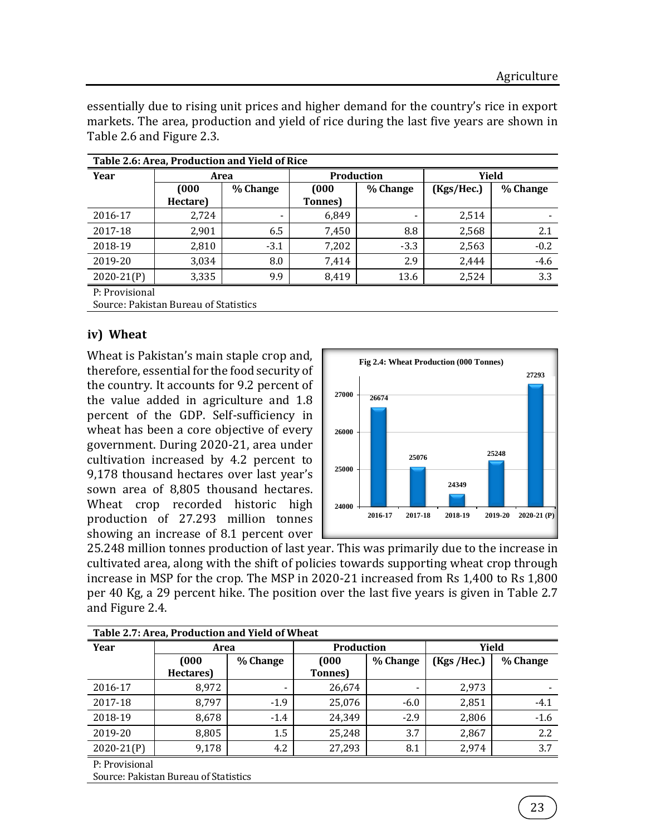essentially due to rising unit prices and higher demand for the country's rice in export markets. The area, production and yield of rice during the last five years are shown in Table 2.6 and Figure 2.3.

|                | Table 2.6: Area, Production and Yield of Rice |          |                 |                          |            |          |  |  |  |
|----------------|-----------------------------------------------|----------|-----------------|--------------------------|------------|----------|--|--|--|
| Year           | Area                                          |          |                 | <b>Production</b>        |            | Yield    |  |  |  |
|                | <b>COOO</b>                                   | % Change | (000)           | % Change                 | (Kgs/Hec.) | % Change |  |  |  |
|                | Hectare)                                      |          | <b>Tonnes</b> ) |                          |            |          |  |  |  |
| 2016-17        | 2,724                                         |          | 6,849           | $\overline{\phantom{0}}$ | 2,514      |          |  |  |  |
| 2017-18        | 2,901                                         | 6.5      | 7,450           | 8.8                      | 2,568      | 2.1      |  |  |  |
| 2018-19        | 2,810                                         | $-3.1$   | 7,202           | $-3.3$                   | 2,563      | $-0.2$   |  |  |  |
| 2019-20        | 3,034                                         | 8.0      | 7.414           | 2.9                      | 2.444      | $-4.6$   |  |  |  |
| $2020 - 21(P)$ | 3,335                                         | 9.9      | 8,419           | 13.6                     | 2,524      | 3.3      |  |  |  |
| D. Provisional |                                               |          |                 |                          |            |          |  |  |  |

P: Provisional

Source: Pakistan Bureau of Statistics

## **iv) Wheat**

Wheat is Pakistan's main staple crop and, therefore, essential for the food security of the country. It accounts for 9.2 percent of the value added in agriculture and 1.8 percent of the GDP. Self-sufficiency in wheat has been a core objective of every government. During 2020-21, area under cultivation increased by 4.2 percent to 9,178 thousand hectares over last year's sown area of 8,805 thousand hectares. Wheat crop recorded historic high production of 27.293 million tonnes showing an increase of 8.1 percent over



25.248 million tonnes production of last year. This was primarily due to the increase in cultivated area, along with the shift of policies towards supporting wheat crop through increase in MSP for the crop. The MSP in 2020-21 increased from Rs 1,400 to Rs 1,800 per 40 Kg, a 29 percent hike. The position over the last five years is given in Table 2.7 and Figure 2.4.

| Table 2.7: Area, Production and Yield of Wheat |                                       |                    |                 |          |             |          |  |  |
|------------------------------------------------|---------------------------------------|--------------------|-----------------|----------|-------------|----------|--|--|
| Year                                           |                                       | Production<br>Area |                 |          |             | Yield    |  |  |
|                                                | (000)                                 | % Change           | (000)           | % Change | (Kgs /Hec.) | % Change |  |  |
|                                                | Hectares)                             |                    | <b>Tonnes</b> ) |          |             |          |  |  |
| 2016-17                                        | 8,972                                 |                    | 26,674          |          | 2,973       |          |  |  |
| 2017-18                                        | 8,797                                 | $-1.9$             | 25,076          | $-6.0$   | 2,851       | $-4.1$   |  |  |
| 2018-19                                        | 8,678                                 | $-1.4$             | 24,349          | $-2.9$   | 2,806       | $-1.6$   |  |  |
| 2019-20                                        | 8,805                                 | $1.5\,$            | 25,248          | 3.7      | 2,867       | 2.2      |  |  |
| $2020-21(P)$                                   | 9,178                                 | 4.2                | 27,293          | 8.1      | 2,974       | 3.7      |  |  |
| P: Provisional                                 |                                       |                    |                 |          |             |          |  |  |
|                                                | Source: Pakistan Bureau of Statistics |                    |                 |          |             |          |  |  |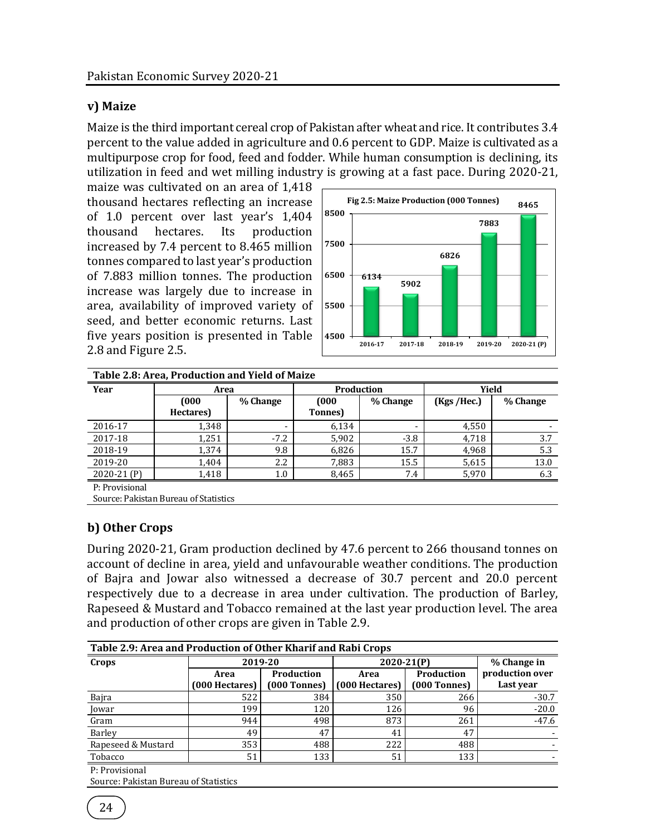## **v) Maize**

Maize is the third important cereal crop of Pakistan after wheat and rice. It contributes 3.4 percent to the value added in agriculture and 0.6 percent to GDP. Maize is cultivated as a multipurpose crop for food, feed and fodder. While human consumption is declining, its utilization in feed and wet milling industry is growing at a fast pace. During 2020-21,

maize was cultivated on an area of 1,418 thousand hectares reflecting an increase of 1.0 percent over last year's 1,404 thousand hectares. Its production increased by 7.4 percent to 8.465 million tonnes compared to last year's production of 7.883 million tonnes. The production increase was largely due to increase in area, availability of improved variety of seed, and better economic returns. Last five years position is presented in Table 2.8 and Figure 2.5.



| Table 2.8: Area, Production and Yield of Maize |                                       |          |                 |                          |             |          |  |  |
|------------------------------------------------|---------------------------------------|----------|-----------------|--------------------------|-------------|----------|--|--|
| Year                                           | Area                                  |          | Production      |                          |             | Yield    |  |  |
|                                                | (000)                                 | % Change | (000)           | % Change                 | (Kgs /Hec.) | % Change |  |  |
|                                                | Hectares)                             |          | <b>Tonnes</b> ) |                          |             |          |  |  |
| 2016-17                                        | 1,348                                 |          | 6,134           | $\overline{\phantom{0}}$ | 4,550       |          |  |  |
| 2017-18                                        | 1,251                                 | $-7.2$   | 5,902           | $-3.8$                   | 4,718       | 3.7      |  |  |
| 2018-19                                        | 1,374                                 | 9.8      | 6,826           | 15.7                     | 4,968       | 5.3      |  |  |
| 2019-20                                        | 1,404                                 | 2.2      | 7,883           | 15.5                     | 5,615       | 13.0     |  |  |
| 2020-21 (P)                                    | 1,418                                 | 1.0      | 8,465           | 7.4                      | 5,970       | 6.3      |  |  |
| P: Provisional                                 |                                       |          |                 |                          |             |          |  |  |
|                                                | Source: Pakistan Bureau of Statistics |          |                 |                          |             |          |  |  |

# **b) Other Crops**

During 2020-21, Gram production declined by 47.6 percent to 266 thousand tonnes on account of decline in area, yield and unfavourable weather conditions. The production of Bajra and Jowar also witnessed a decrease of 30.7 percent and 20.0 percent respectively due to a decrease in area under cultivation. The production of Barley, Rapeseed & Mustard and Tobacco remained at the last year production level. The area and production of other crops are given in Table 2.9.

| Table 2.9: Area and Production of Other Kharif and Rabi Crops |                        |                              |                        |                              |                              |  |  |  |  |  |
|---------------------------------------------------------------|------------------------|------------------------------|------------------------|------------------------------|------------------------------|--|--|--|--|--|
| Crops                                                         | 2019-20                |                              | $2020 - 21(P)$         | % Change in                  |                              |  |  |  |  |  |
|                                                               | Area<br>(000 Hectares) | Production<br>$(000$ Tonnes) | Area<br>(000 Hectares) | Production<br>$(000$ Tonnes) | production over<br>Last year |  |  |  |  |  |
| Bajra                                                         | 522                    | 384                          | 350                    | 266                          | $-30.7$                      |  |  |  |  |  |
| Jowar                                                         | 199                    | 120                          | 126                    | 96                           | $-20.0$                      |  |  |  |  |  |
| Gram                                                          | 944                    | 498                          | 873                    | 261                          | $-47.6$                      |  |  |  |  |  |
| Barley                                                        | 49                     | 47                           | 41                     | 47                           |                              |  |  |  |  |  |
| Rapeseed & Mustard                                            | 353                    | 488                          | 222                    | 488                          |                              |  |  |  |  |  |
| Tobacco                                                       | 51                     | 133                          | 51                     | 133                          |                              |  |  |  |  |  |

P: Provisional

Source: Pakistan Bureau of Statistics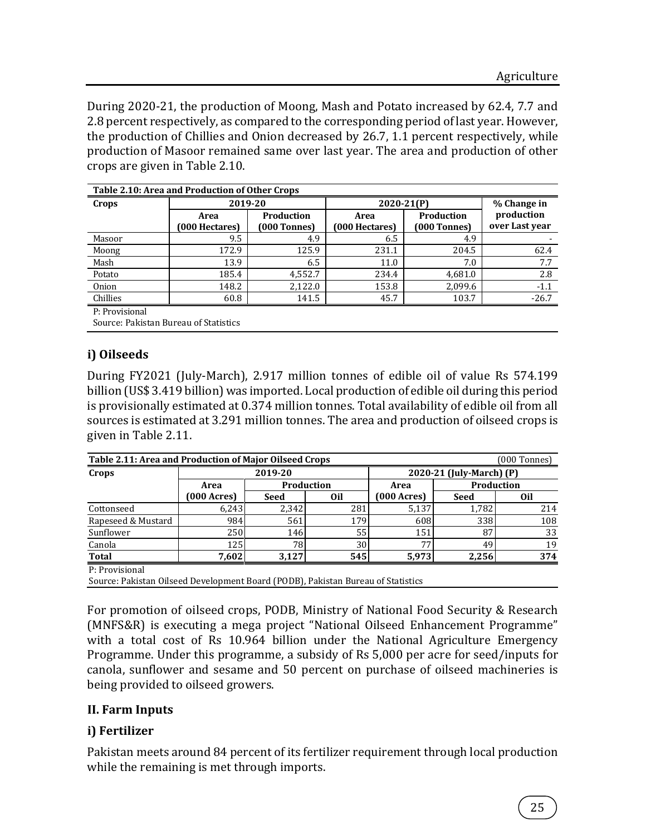During 2020-21, the production of Moong, Mash and Potato increased by 62.4, 7.7 and 2.8 percent respectively, as compared to the corresponding period of last year. However, the production of Chillies and Onion decreased by 26.7, 1.1 percent respectively, while production of Masoor remained same over last year. The area and production of other crops are given in Table 2.10.

| Table 2.10: Area and Production of Other Crops |                        |                            |                        |                            |                              |  |  |  |  |
|------------------------------------------------|------------------------|----------------------------|------------------------|----------------------------|------------------------------|--|--|--|--|
| Crops                                          | 2019-20                |                            |                        | 2020-21 <sub>(P)</sub>     |                              |  |  |  |  |
|                                                | Area<br>(000 Hectares) | Production<br>[000 Tonnes] | Area<br>(000 Hectares) | Production<br>[000 Tonnes] | production<br>over Last year |  |  |  |  |
| Masoor                                         | 9.5                    | 4.9                        | 6.5                    | 4.9                        |                              |  |  |  |  |
| Moong                                          | 172.9                  | 125.9                      | 231.1                  | 204.5                      | 62.4                         |  |  |  |  |
| Mash                                           | 13.9                   | 6.5                        | 11.0                   | 7.0                        | 7.7                          |  |  |  |  |
| Potato                                         | 185.4                  | 4,552.7                    | 234.4                  | 4,681.0                    | 2.8                          |  |  |  |  |
| Onion                                          | 148.2                  | 2,122.0                    | 153.8                  | 2,099.6                    | $-1.1$                       |  |  |  |  |
| Chillies                                       | 60.8                   | 141.5                      | 45.7                   | 103.7                      | $-26.7$                      |  |  |  |  |
| P: Provisional                                 |                        |                            |                        |                            |                              |  |  |  |  |

**Table 2.10: Area and Production of Other Crops**

Source: Pakistan Bureau of Statistics

## **i) Oilseeds**

During FY2021 (July-March), 2.917 million tonnes of edible oil of value Rs 574.199 billion (US\$ 3.419 billion) was imported. Local production of edible oil during this period is provisionally estimated at 0.374 million tonnes. Total availability of edible oil from all sources is estimated at 3.291 million tonnes. The area and production of oilseed crops is given in Table 2.11.

| Table 2.11: Area and Production of Major Oilseed Crops<br>(000 Tonnes) |                                                       |       |                 |                                       |            |                          |  |  |
|------------------------------------------------------------------------|-------------------------------------------------------|-------|-----------------|---------------------------------------|------------|--------------------------|--|--|
| Crops                                                                  |                                                       |       | 2019-20         |                                       |            | 2020-21 (July-March) (P) |  |  |
|                                                                        | Area                                                  |       | Production      | Area                                  | Production |                          |  |  |
|                                                                        | $(000 \text{ A} \text{c} \text{r} \text{e} \text{s})$ | Seed  | 0 <sub>il</sub> | $(000 \text{ A} \text{c} \text{res})$ | Seed       | 0il                      |  |  |
| Cottonseed                                                             | 6.243                                                 | 2.342 | 281             | 5,137                                 | 1,782      | 214                      |  |  |
| Rapeseed & Mustard                                                     | 984                                                   | 561   | 179             | 608                                   | 338        | 108                      |  |  |
| Sunflower                                                              | 250                                                   | 146   | 55              | 151                                   | 87         | 33                       |  |  |
| Canola                                                                 | 125                                                   | 78    | 30              | 77 <sub>1</sub>                       | 49         | 19                       |  |  |
| <b>Total</b>                                                           | 7,602                                                 | 3,127 | 545             | 5,973                                 | 2,256      | 374                      |  |  |
| P: Provisional                                                         |                                                       |       |                 |                                       |            |                          |  |  |

Source: Pakistan Oilseed Development Board (PODB), Pakistan Bureau of Statistics

For promotion of oilseed crops, PODB, Ministry of National Food Security & Research (MNFS&R) is executing a mega project "National Oilseed Enhancement Programme" with a total cost of Rs 10.964 billion under the National Agriculture Emergency Programme. Under this programme, a subsidy of Rs 5,000 per acre for seed/inputs for canola, sunflower and sesame and 50 percent on purchase of oilseed machineries is being provided to oilseed growers.

#### **II. Farm Inputs**

## **i) Fertilizer**

Pakistan meets around 84 percent of its fertilizer requirement through local production while the remaining is met through imports.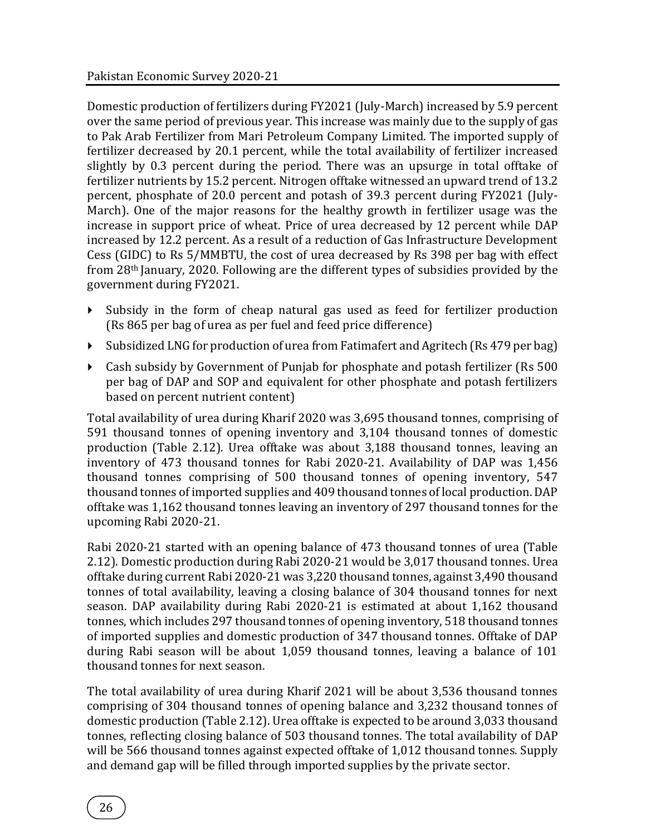Domestic production of fertilizers during FY2021 (July-March) increased by 5.9 percent over the same period of previous year. This increase was mainly due to the supply of gas to Pak Arab Fertilizer from Mari Petroleum Company Limited. The imported supply of fertilizer decreased by 20.1 percent, while the total availability of fertilizer increased slightly by 0.3 percent during the period. There was an upsurge in total offtake of fertilizer nutrients by 15.2 percent. Nitrogen offtake witnessed an upward trend of 13.2 percent, phosphate of 20.0 percent and potash of 39.3 percent during FY2021 (July-March). One of the major reasons for the healthy growth in fertilizer usage was the increase in support price of wheat. Price of urea decreased by 12 percent while DAP increased by 12.2 percent. As a result of a reduction of Gas Infrastructure Development Cess (GIDC) to Rs 5/MMBTU, the cost of urea decreased by Rs 398 per bag with effect from 28th January, 2020. Following are the different types of subsidies provided by the government during FY2021.

- $\blacktriangleright$  Subsidy in the form of cheap natural gas used as feed for fertilizer production (Rs 865 per bag of urea as per fuel and feed price difference)
- Subsidized LNG for production of urea from Fatimafert and Agritech (Rs 479 per bag)
- Cash subsidy by Government of Punjab for phosphate and potash fertilizer (Rs 500 per bag of DAP and SOP and equivalent for other phosphate and potash fertilizers based on percent nutrient content)

Total availability of urea during Kharif 2020 was 3,695 thousand tonnes, comprising of 591 thousand tonnes of opening inventory and 3,104 thousand tonnes of domestic production (Table 2.12). Urea offtake was about 3,188 thousand tonnes, leaving an inventory of 473 thousand tonnes for Rabi 2020-21. Availability of DAP was 1,456 thousand tonnes comprising of 500 thousand tonnes of opening inventory, 547 thousand tonnes of imported supplies and 409 thousand tonnes of local production. DAP offtake was 1,162 thousand tonnes leaving an inventory of 297 thousand tonnes for the upcoming Rabi 2020-21.

Rabi 2020-21 started with an opening balance of 473 thousand tonnes of urea (Table 2.12). Domestic production during Rabi 2020-21 would be 3,017 thousand tonnes. Urea offtake during current Rabi 2020-21 was 3,220 thousand tonnes, against 3,490 thousand tonnes of total availability, leaving a closing balance of 304 thousand tonnes for next season. DAP availability during Rabi 2020-21 is estimated at about 1,162 thousand tonnes, which includes 297 thousand tonnes of opening inventory, 518 thousand tonnes of imported supplies and domestic production of 347 thousand tonnes. Offtake of DAP during Rabi season will be about 1,059 thousand tonnes, leaving a balance of 101 thousand tonnes for next season.

The total availability of urea during Kharif 2021 will be about 3,536 thousand tonnes comprising of 304 thousand tonnes of opening balance and 3,232 thousand tonnes of domestic production (Table 2.12). Urea offtake is expected to be around 3,033 thousand tonnes, reflecting closing balance of 503 thousand tonnes. The total availability of DAP will be 566 thousand tonnes against expected offtake of 1,012 thousand tonnes. Supply and demand gap will be filled through imported supplies by the private sector.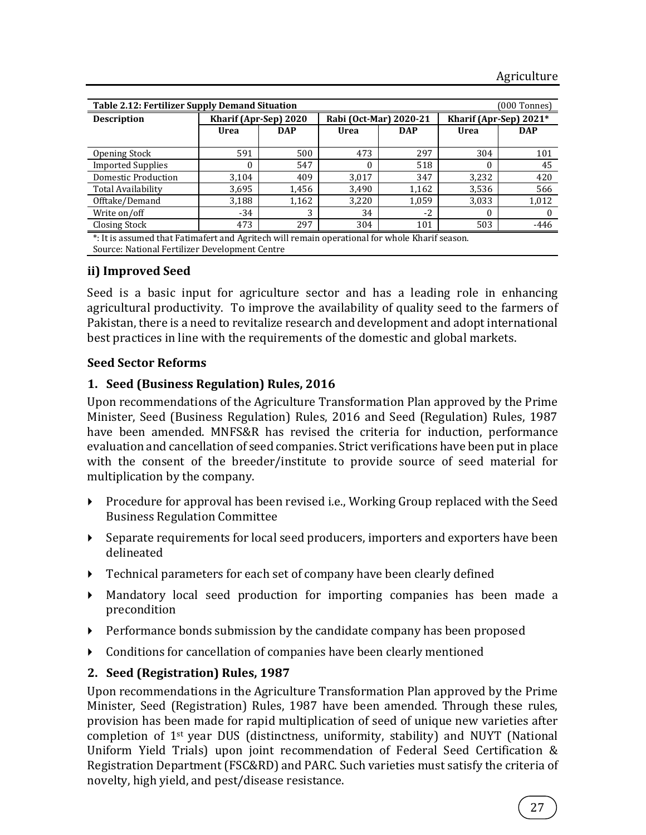| <b>Table 2.12: Fertilizer Supply Demand Situation</b><br>(000 Tonnes) |            |                                     |                 |                                      |                        |  |  |  |  |
|-----------------------------------------------------------------------|------------|-------------------------------------|-----------------|--------------------------------------|------------------------|--|--|--|--|
|                                                                       |            |                                     |                 |                                      | Kharif (Apr-Sep) 2021* |  |  |  |  |
| Urea                                                                  | <b>DAP</b> | Urea                                | <b>DAP</b>      | Urea                                 | <b>DAP</b>             |  |  |  |  |
|                                                                       |            |                                     |                 |                                      |                        |  |  |  |  |
|                                                                       |            |                                     |                 |                                      | 101                    |  |  |  |  |
|                                                                       |            |                                     |                 |                                      | 45                     |  |  |  |  |
| 3,104                                                                 | 409        | 3,017                               | 347             | 3,232                                | 420                    |  |  |  |  |
| 3,695                                                                 | 1,456      | 3,490                               | 1,162           | 3,536                                | 566                    |  |  |  |  |
| 3,188                                                                 | 1,162      | 3,220                               | 1,059           | 3,033                                | 1,012                  |  |  |  |  |
| $-34$                                                                 | 3          | 34                                  | $-2$            | 0                                    |                        |  |  |  |  |
| 473                                                                   | 297        | 304                                 | 101             | 503                                  | $-446$                 |  |  |  |  |
|                                                                       | 591        | Kharif (Apr-Sep) 2020<br>500<br>547 | 473<br>$\theta$ | Rabi (Oct-Mar) 2020-21<br>297<br>518 | 304                    |  |  |  |  |

timafert and Agritech will remain operational for Source: National Fertilizer Development Centre

# **ii) Improved Seed**

Seed is a basic input for agriculture sector and has a leading role in enhancing agricultural productivity. To improve the availability of quality seed to the farmers of Pakistan, there is a need to revitalize research and development and adopt international best practices in line with the requirements of the domestic and global markets.

#### **Seed Sector Reforms**

## **1. Seed (Business Regulation) Rules, 2016**

Upon recommendations of the Agriculture Transformation Plan approved by the Prime Minister, Seed (Business Regulation) Rules, 2016 and Seed (Regulation) Rules, 1987 have been amended. MNFS&R has revised the criteria for induction, performance evaluation and cancellation of seed companies. Strict verifications have been put in place with the consent of the breeder/institute to provide source of seed material for multiplication by the company.

- Procedure for approval has been revised i.e., Working Group replaced with the Seed Business Regulation Committee
- Separate requirements for local seed producers, importers and exporters have been delineated
- Technical parameters for each set of company have been clearly defined
- Mandatory local seed production for importing companies has been made a precondition
- **Performance bonds submission by the candidate company has been proposed**
- Conditions for cancellation of companies have been clearly mentioned

## **2. Seed (Registration) Rules, 1987**

Upon recommendations in the Agriculture Transformation Plan approved by the Prime Minister, Seed (Registration) Rules, 1987 have been amended. Through these rules, provision has been made for rapid multiplication of seed of unique new varieties after completion of 1st year DUS (distinctness, uniformity, stability) and NUYT (National Uniform Yield Trials) upon joint recommendation of Federal Seed Certification & Registration Department (FSC&RD) and PARC. Such varieties must satisfy the criteria of novelty, high yield, and pest/disease resistance.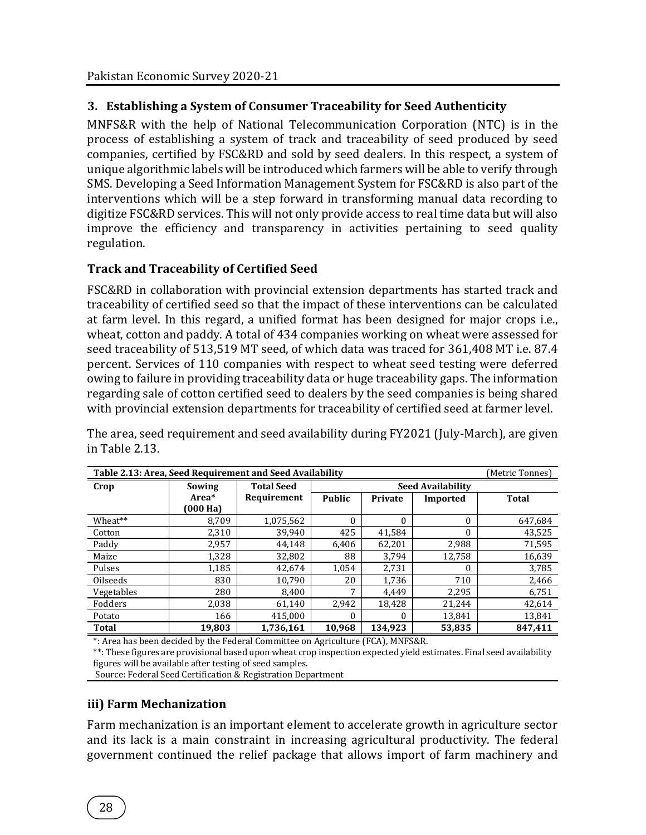# **3. Establishing a System of Consumer Traceability for Seed Authenticity**

MNFS&R with the help of National Telecommunication Corporation (NTC) is in the process of establishing a system of track and traceability of seed produced by seed companies, certified by FSC&RD and sold by seed dealers. In this respect, a system of unique algorithmic labels will be introduced which farmers will be able to verify through SMS. Developing a Seed Information Management System for FSC&RD is also part of the interventions which will be a step forward in transforming manual data recording to digitize FSC&RD services. This will not only provide access to real time data but will also improve the efficiency and transparency in activities pertaining to seed quality regulation.

## **Track and Traceability of Certified Seed**

FSC&RD in collaboration with provincial extension departments has started track and traceability of certified seed so that the impact of these interventions can be calculated at farm level. In this regard, a unified format has been designed for major crops i.e., wheat, cotton and paddy. A total of 434 companies working on wheat were assessed for seed traceability of 513,519 MT seed, of which data was traced for 361,408 MT i.e. 87.4 percent. Services of 110 companies with respect to wheat seed testing were deferred owing to failure in providing traceability data or huge traceability gaps. The information regarding sale of cotton certified seed to dealers by the seed companies is being shared with provincial extension departments for traceability of certified seed at farmer level.

The area, seed requirement and seed availability during FY2021 (July-March), are given in Table 2.13.

|              | Table 2.13: Area, Seed Requirement and Seed Availability<br>(Metric Tonnes) |                   |               |          |                          |              |  |  |  |
|--------------|-----------------------------------------------------------------------------|-------------------|---------------|----------|--------------------------|--------------|--|--|--|
| Crop         | Sowing                                                                      | <b>Total Seed</b> |               |          | <b>Seed Availability</b> |              |  |  |  |
|              | Area*                                                                       | Requirement       | <b>Public</b> | Private  | Imported                 | <b>Total</b> |  |  |  |
|              | (000 Ha)                                                                    |                   |               |          |                          |              |  |  |  |
| Wheat**      | 8,709                                                                       | 1,075,562         | $\theta$      | $\Omega$ | $\Omega$                 | 647,684      |  |  |  |
| Cotton       | 2,310                                                                       | 39.940            | 425           | 41,584   | $\Omega$                 | 43,525       |  |  |  |
| Paddy        | 2,957                                                                       | 44.148            | 6.406         | 62.201   | 2.988                    | 71.595       |  |  |  |
| Maize        | 1.328                                                                       | 32,802            | 88            | 3.794    | 12.758                   | 16.639       |  |  |  |
| Pulses       | 1,185                                                                       | 42,674            | 1,054         | 2,731    | $\theta$                 | 3,785        |  |  |  |
| Oilseeds     | 830                                                                         | 10.790            | 20            | 1,736    | 710                      | 2,466        |  |  |  |
| Vegetables   | 280                                                                         | 8.400             | 7             | 4.449    | 2,295                    | 6,751        |  |  |  |
| Fodders      | 2.038                                                                       | 61.140            | 2.942         | 18.428   | 21,244                   | 42,614       |  |  |  |
| Potato       | 166                                                                         | 415.000           | $\theta$      | $\Omega$ | 13.841                   | 13.841       |  |  |  |
| <b>Total</b> | 19,803                                                                      | 1,736,161         | 10,968        | 134,923  | 53,835                   | 847,411      |  |  |  |

\*: Area has been decided by the Federal Committee on Agriculture (FCA), MNFS&R.

\*\*: These figures are provisional based upon wheat crop inspection expected yield estimates. Final seed availability figures will be available after testing of seed samples.

Source: Federal Seed Certification & Registration Department

#### **iii) Farm Mechanization**

Farm mechanization is an important element to accelerate growth in agriculture sector and its lack is a main constraint in increasing agricultural productivity. The federal government continued the relief package that allows import of farm machinery and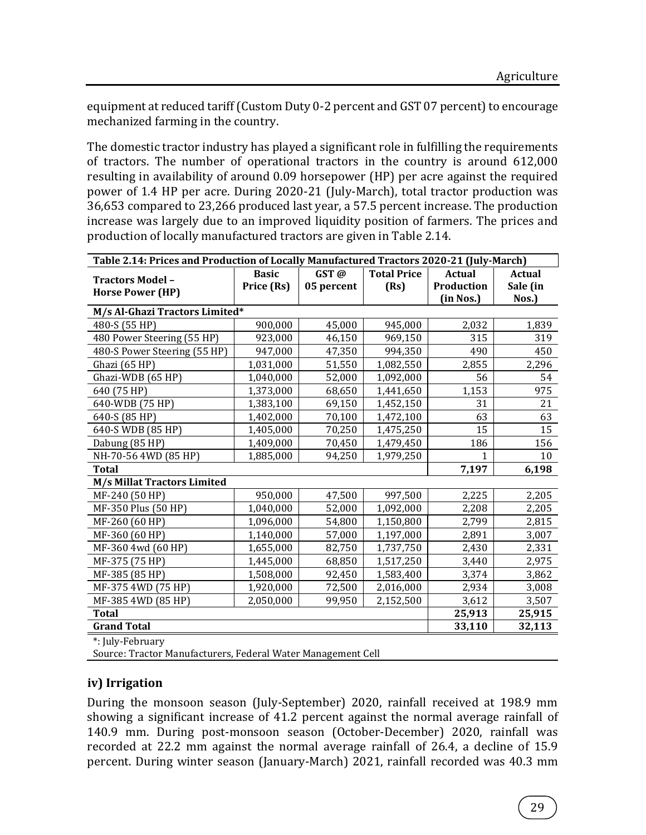equipment at reduced tariff (Custom Duty 0-2 percent and GST 07 percent) to encourage mechanized farming in the country.

The domestic tractor industry has played a significant role in fulfilling the requirements of tractors. The number of operational tractors in the country is around 612,000 resulting in availability of around 0.09 horsepower (HP) per acre against the required power of 1.4 HP per acre. During 2020-21 (July-March), total tractor production was 36,653 compared to 23,266 produced last year, a 57.5 percent increase. The production increase was largely due to an improved liquidity position of farmers. The prices and production of locally manufactured tractors are given in Table 2.14.

| Table 2.14: Prices and Production of Locally Manufactured Tractors 2020-21 (July-March) |              |            |                    |               |               |  |  |
|-----------------------------------------------------------------------------------------|--------------|------------|--------------------|---------------|---------------|--|--|
| <b>Tractors Model-</b>                                                                  | <b>Basic</b> | GST@       | <b>Total Price</b> | <b>Actual</b> | <b>Actual</b> |  |  |
| <b>Horse Power (HP)</b>                                                                 | Price (Rs)   | 05 percent | (Rs)               | Production    | Sale (in      |  |  |
|                                                                                         |              |            |                    | (in Nos.)     | Nos.)         |  |  |
| M/s Al-Ghazi Tractors Limited*                                                          |              |            |                    |               |               |  |  |
| 480-S (55 HP)                                                                           | 900,000      | 45,000     | 945,000            | 2,032         | 1,839         |  |  |
| 480 Power Steering (55 HP)                                                              | 923,000      | 46,150     | 969,150            | 315           | 319           |  |  |
| 480-S Power Steering (55 HP)                                                            | 947,000      | 47,350     | 994,350            | 490           | 450           |  |  |
| Ghazi (65 HP)                                                                           | 1,031,000    | 51,550     | 1,082,550          | 2,855         | 2,296         |  |  |
| Ghazi-WDB (65 HP)                                                                       | 1,040,000    | 52,000     | 1,092,000          | 56            | 54            |  |  |
| 640 (75 HP)                                                                             | 1,373,000    | 68,650     | 1,441,650          | 1,153         | 975           |  |  |
| 640-WDB (75 HP)                                                                         | 1,383,100    | 69,150     | 1,452,150          | 31            | 21            |  |  |
| 640-S (85 HP)                                                                           | 1,402,000    | 70,100     | 1,472,100          | 63            | 63            |  |  |
| 640-S WDB (85 HP)                                                                       | 1,405,000    | 70,250     | 1,475,250          | 15            | 15            |  |  |
| Dabung (85 HP)                                                                          | 1,409,000    | 70,450     | 1,479,450          | 186           | 156           |  |  |
| NH-70-56 4WD (85 HP)                                                                    | 1,885,000    | 94,250     | 1,979,250          |               | 10            |  |  |
| <b>Total</b>                                                                            |              |            |                    | 7,197         | 6,198         |  |  |
| <b>M/s Millat Tractors Limited</b>                                                      |              |            |                    |               |               |  |  |
| MF-240 (50 HP)                                                                          | 950,000      | 47,500     | 997,500            | 2,225         | 2,205         |  |  |
| MF-350 Plus (50 HP)                                                                     | 1,040,000    | 52,000     | 1,092,000          | 2,208         | 2,205         |  |  |
| MF-260 (60 HP)                                                                          | 1,096,000    | 54,800     | 1,150,800          | 2,799         | 2,815         |  |  |
| MF-360 (60 HP)                                                                          | 1,140,000    | 57,000     | 1,197,000          | 2,891         | 3,007         |  |  |
| MF-360 4wd (60 HP)                                                                      | 1,655,000    | 82,750     | 1,737,750          | 2,430         | 2,331         |  |  |
| MF-375 (75 HP)                                                                          | 1,445,000    | 68,850     | 1,517,250          | 3,440         | 2,975         |  |  |
| MF-385 (85 HP)                                                                          | 1,508,000    | 92,450     | 1,583,400          | 3,374         | 3,862         |  |  |
| MF-375 4WD (75 HP)                                                                      | 1,920,000    | 72,500     | 2,016,000          | 2,934         | 3,008         |  |  |
| MF-385 4WD (85 HP)                                                                      | 2,050,000    | 99,950     | 2,152,500          | 3,612         | 3,507         |  |  |
| <b>Total</b>                                                                            |              |            |                    | 25,913        | 25,915        |  |  |
| <b>Grand Total</b>                                                                      |              |            |                    | 33,110        | 32,113        |  |  |
| $*$ , Luly Fohruary                                                                     |              |            |                    |               |               |  |  |

\*: July-February

Source: Tractor Manufacturers, Federal Water Management Cell

## **iv) Irrigation**

During the monsoon season (July-September) 2020, rainfall received at 198.9 mm showing a significant increase of 41.2 percent against the normal average rainfall of 140.9 mm. During post-monsoon season (October-December) 2020, rainfall was recorded at 22.2 mm against the normal average rainfall of 26.4, a decline of 15.9 percent. During winter season (January-March) 2021, rainfall recorded was 40.3 mm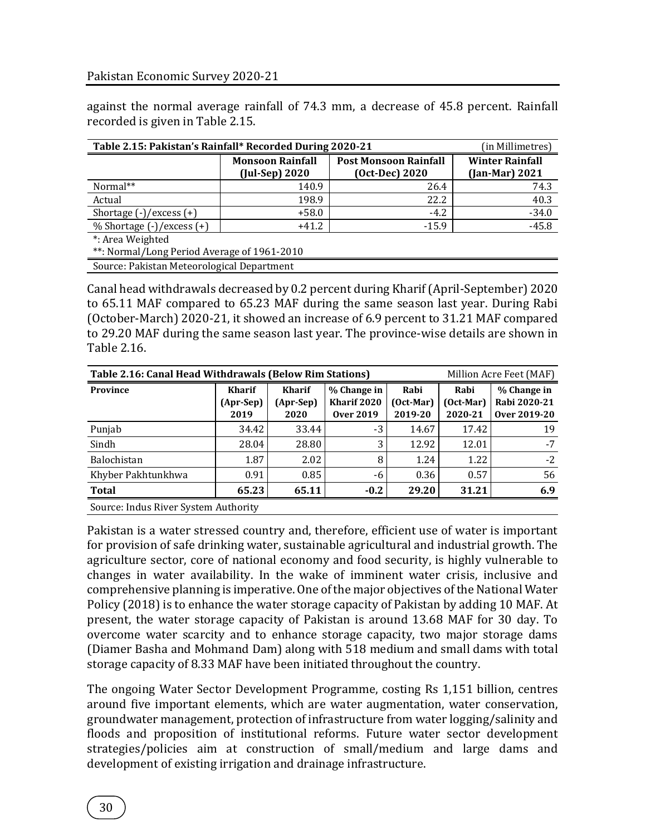against the normal average rainfall of 74.3 mm, a decrease of 45.8 percent. Rainfall recorded is given in Table 2.15.

| Table 2.15: Pakistan's Rainfall* Recorded During 2020-21 | (in Millimetres)        |                              |                  |  |  |  |  |
|----------------------------------------------------------|-------------------------|------------------------------|------------------|--|--|--|--|
|                                                          | <b>Monsoon Rainfall</b> | <b>Post Monsoon Rainfall</b> |                  |  |  |  |  |
|                                                          | $($ Jul-Sep $)$ 2020    | (Oct-Dec) 2020               | $(Jan-Mar) 2021$ |  |  |  |  |
| Normal**                                                 | 140.9                   | 26.4                         | 74.3             |  |  |  |  |
| Actual                                                   | 198.9                   | 22.2                         | 40.3             |  |  |  |  |
| Shortage $(-)/$ excess $(+)$                             | $+58.0$                 | $-4.2$                       | $-34.0$          |  |  |  |  |
| $%$ Shortage $(-)/$ excess $(+)$                         | $+41.2$                 | $-15.9$                      | $-45.8$          |  |  |  |  |
| *: Area Weighted                                         |                         |                              |                  |  |  |  |  |
| **: Normal/Long Period Average of 1961-2010              |                         |                              |                  |  |  |  |  |
| Source: Pakistan Meteorological Department               |                         |                              |                  |  |  |  |  |

Canal head withdrawals decreased by 0.2 percent during Kharif (April-September) 2020 to 65.11 MAF compared to 65.23 MAF during the same season last year. During Rabi (October-March) 2020-21, it showed an increase of 6.9 percent to 31.21 MAF compared to 29.20 MAF during the same season last year. The province-wise details are shown in Table 2.16.

| Table 2.16: Canal Head Withdrawals (Below Rim Stations)<br>Million Acre Feet (MAF) |                                      |                                    |                                                |                                    |                                    |                                                    |  |  |  |
|------------------------------------------------------------------------------------|--------------------------------------|------------------------------------|------------------------------------------------|------------------------------------|------------------------------------|----------------------------------------------------|--|--|--|
| <b>Province</b>                                                                    | Kharif<br>(Apr-Sep)<br>2019          | <b>Kharif</b><br>(Apr-Sep)<br>2020 | % Change in<br>Kharif 2020<br><b>Over 2019</b> | Rabi<br>$(Oct$ -Mar $)$<br>2019-20 | Rabi<br>$(Oct$ -Mar $)$<br>2020-21 | % Change in<br>Rabi 2020-21<br><b>Over 2019-20</b> |  |  |  |
| Punjab                                                                             | 34.42                                | 33.44                              | $-3$                                           | 14.67                              | 17.42                              | 19                                                 |  |  |  |
| Sindh                                                                              | 28.04                                | 28.80                              | 3                                              | 12.92                              | 12.01                              | $-7$                                               |  |  |  |
| Balochistan                                                                        | 1.87                                 | 2.02                               | 8                                              | 1.24                               | 1.22                               | $-2$                                               |  |  |  |
| Khyber Pakhtunkhwa                                                                 | 0.91                                 | 0.85                               | -6                                             | 0.36                               | 0.57                               | 56                                                 |  |  |  |
| <b>Total</b>                                                                       | 65.23                                | 65.11                              | $-0.2$                                         | 29.20                              | 31.21                              | 6.9                                                |  |  |  |
|                                                                                    | Source: Indus River System Authority |                                    |                                                |                                    |                                    |                                                    |  |  |  |

Pakistan is a water stressed country and, therefore, efficient use of water is important for provision of safe drinking water, sustainable agricultural and industrial growth. The agriculture sector, core of national economy and food security, is highly vulnerable to changes in water availability. In the wake of imminent water crisis, inclusive and comprehensive planning is imperative. One of the major objectives of the National Water Policy (2018) is to enhance the water storage capacity of Pakistan by adding 10 MAF. At present, the water storage capacity of Pakistan is around 13.68 MAF for 30 day. To overcome water scarcity and to enhance storage capacity, two major storage dams (Diamer Basha and Mohmand Dam) along with 518 medium and small dams with total storage capacity of 8.33 MAF have been initiated throughout the country.

The ongoing Water Sector Development Programme, costing Rs 1,151 billion, centres around five important elements, which are water augmentation, water conservation, groundwater management, protection of infrastructure from water logging/salinity and floods and proposition of institutional reforms. Future water sector development strategies/policies aim at construction of small/medium and large dams and development of existing irrigation and drainage infrastructure.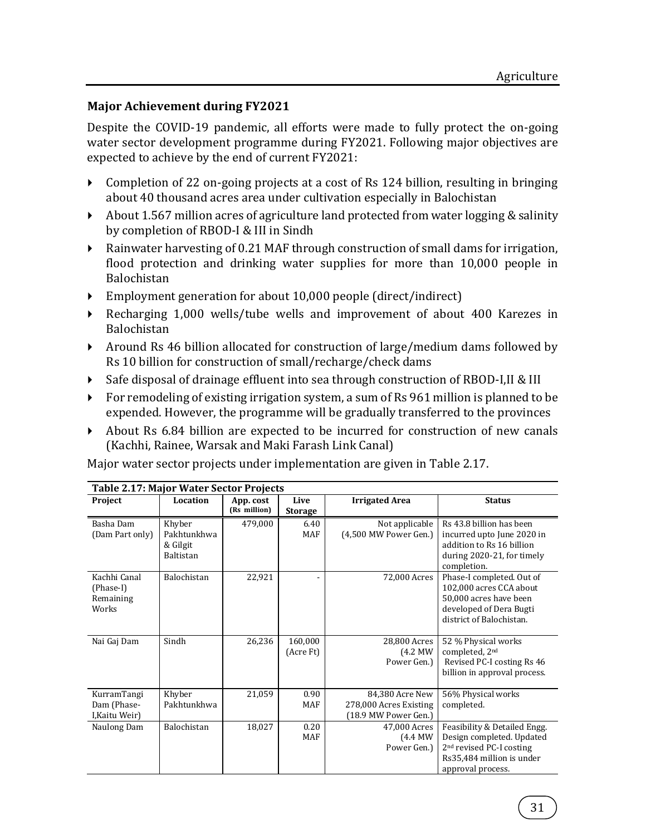#### **Major Achievement during FY2021**

Despite the COVID-19 pandemic, all efforts were made to fully protect the on-going water sector development programme during FY2021. Following major objectives are expected to achieve by the end of current FY2021:

- Completion of 22 on-going projects at a cost of Rs 124 billion, resulting in bringing about 40 thousand acres area under cultivation especially in Balochistan
- About 1.567 million acres of agriculture land protected from water logging & salinity by completion of RBOD-I & III in Sindh
- Rainwater harvesting of 0.21 MAF through construction of small dams for irrigation, flood protection and drinking water supplies for more than 10,000 people in Balochistan
- Employment generation for about 10,000 people (direct/indirect)
- Recharging 1,000 wells/tube wells and improvement of about 400 Karezes in Balochistan
- Around Rs 46 billion allocated for construction of large/medium dams followed by Rs 10 billion for construction of small/recharge/check dams
- Safe disposal of drainage effluent into sea through construction of RBOD-I,II & III
- For remodeling of existing irrigation system, a sum of Rs 961 million is planned to be expended. However, the programme will be gradually transferred to the provinces
- About Rs 6.84 billion are expected to be incurred for construction of new canals (Kachhi, Rainee, Warsak and Maki Farash Link Canal)

Major water sector projects under implementation are given in Table 2.17.

|                                                 | <b>Table 2.17: Major Water Sector Projects</b> |                           |                        |                                                                   |                                                                                                                                                     |  |  |  |  |
|-------------------------------------------------|------------------------------------------------|---------------------------|------------------------|-------------------------------------------------------------------|-----------------------------------------------------------------------------------------------------------------------------------------------------|--|--|--|--|
| Project                                         | Location                                       | App. cost<br>(Rs million) | Live<br><b>Storage</b> | <b>Irrigated Area</b>                                             | <b>Status</b>                                                                                                                                       |  |  |  |  |
| Basha Dam<br>(Dam Part only)                    | Khyber<br>Pakhtunkhwa<br>& Gilgit<br>Baltistan | 479,000                   | 6.40<br>MAF            | Not applicable<br>(4,500 MW Power Gen.)                           | Rs 43.8 billion has been<br>incurred upto June 2020 in<br>addition to Rs 16 billion<br>during 2020-21, for timely<br>completion.                    |  |  |  |  |
| Kachhi Canal<br>(Phase-I)<br>Remaining<br>Works | Balochistan                                    | 22,921                    |                        | 72,000 Acres                                                      | Phase-I completed. Out of<br>102,000 acres CCA about<br>50,000 acres have been<br>developed of Dera Bugti<br>district of Balochistan.               |  |  |  |  |
| Nai Gaj Dam                                     | Sindh                                          | 26,236                    | 160,000<br>(Acre Ft)   | 28.800 Acres<br>(4.2 MW)<br>Power Gen.)                           | 52 % Physical works<br>completed, 2nd<br>Revised PC-I costing Rs 46<br>billion in approval process.                                                 |  |  |  |  |
| KurramTangi<br>Dam (Phase-<br>I, Kaitu Weir)    | Khyber<br>Pakhtunkhwa                          | 21,059                    | 0.90<br><b>MAF</b>     | 84,380 Acre New<br>278,000 Acres Existing<br>(18.9 MW Power Gen.) | 56% Physical works<br>completed.                                                                                                                    |  |  |  |  |
| Naulong Dam                                     | Balochistan                                    | 18,027                    | 0.20<br><b>MAF</b>     | 47,000 Acres<br>$(4.4$ MW<br>Power Gen.)                          | Feasibility & Detailed Engg.<br>Design completed. Updated<br>2 <sup>nd</sup> revised PC-I costing<br>Rs35,484 million is under<br>approval process. |  |  |  |  |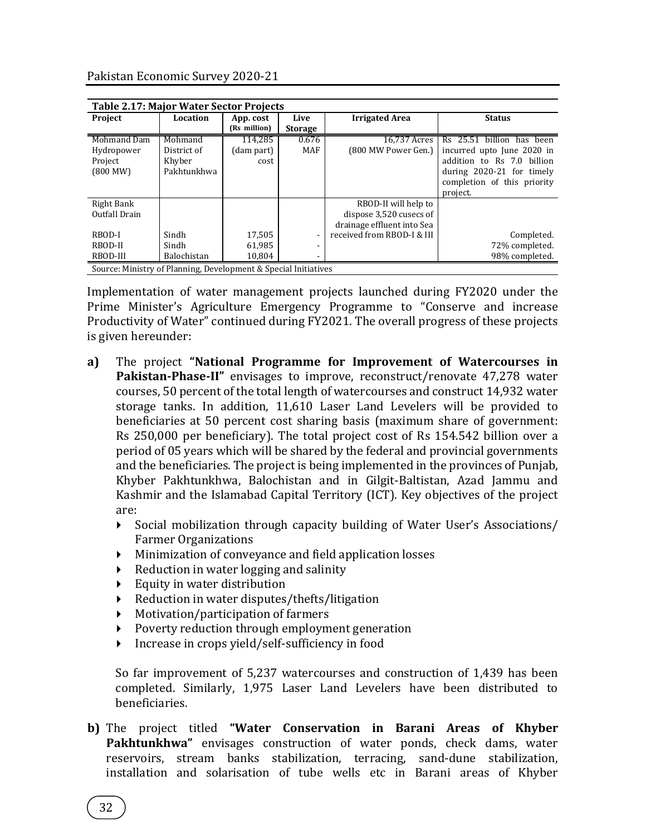|                                                                 | <b>Table 2.17: Major Water Sector Projects</b> |              |                |                            |                             |  |  |  |  |  |
|-----------------------------------------------------------------|------------------------------------------------|--------------|----------------|----------------------------|-----------------------------|--|--|--|--|--|
| Project                                                         | Location                                       | App. cost    | Live           | <b>Irrigated Area</b>      | <b>Status</b>               |  |  |  |  |  |
|                                                                 |                                                | (Rs million) | <b>Storage</b> |                            |                             |  |  |  |  |  |
| Mohmand Dam                                                     | Mohmand                                        | 114,285      | 0.676          | 16.737 Acres               | Rs 25.51 billion has been   |  |  |  |  |  |
| Hydropower                                                      | District of                                    | (dam part)   | <b>MAF</b>     | (800 MW Power Gen.)        | incurred upto June 2020 in  |  |  |  |  |  |
| Project                                                         | Khyber                                         | cost         |                |                            | addition to Rs 7.0 billion  |  |  |  |  |  |
| (800 MW)                                                        | Pakhtunkhwa                                    |              |                |                            | during 2020-21 for timely   |  |  |  |  |  |
|                                                                 |                                                |              |                |                            | completion of this priority |  |  |  |  |  |
|                                                                 |                                                |              |                |                            | project.                    |  |  |  |  |  |
| Right Bank                                                      |                                                |              |                | RBOD-II will help to       |                             |  |  |  |  |  |
| Outfall Drain                                                   |                                                |              |                | dispose 3,520 cusecs of    |                             |  |  |  |  |  |
|                                                                 |                                                |              |                | drainage effluent into Sea |                             |  |  |  |  |  |
| RBOD-I                                                          | Sindh                                          | 17,505       |                | received from RBOD-I & III | Completed.                  |  |  |  |  |  |
| RBOD-II                                                         | Sindh                                          | 61,985       |                |                            | 72% completed.              |  |  |  |  |  |
| RBOD-III                                                        | Balochistan                                    | 10,804       |                |                            | 98% completed.              |  |  |  |  |  |
| Source: Ministry of Planning, Development & Special Initiatives |                                                |              |                |                            |                             |  |  |  |  |  |

Implementation of water management projects launched during FY2020 under the Prime Minister's Agriculture Emergency Programme to "Conserve and increase Productivity of Water" continued during FY2021. The overall progress of these projects is given hereunder:

- **a)** The project **"National Programme for Improvement of Watercourses in Pakistan-Phase-II"** envisages to improve, reconstruct/renovate 47,278 water courses, 50 percent of the total length of watercourses and construct 14,932 water storage tanks. In addition, 11,610 Laser Land Levelers will be provided to beneficiaries at 50 percent cost sharing basis (maximum share of government: Rs 250,000 per beneficiary). The total project cost of Rs 154.542 billion over a period of 05 years which will be shared by the federal and provincial governments and the beneficiaries. The project is being implemented in the provinces of Punjab, Khyber Pakhtunkhwa, Balochistan and in Gilgit-Baltistan, Azad Jammu and Kashmir and the Islamabad Capital Territory (ICT). Key objectives of the project are:
	- Social mobilization through capacity building of Water User's Associations/ Farmer Organizations
	- Minimization of conveyance and field application losses
	- $\triangleright$  Reduction in water logging and salinity
	- $\blacktriangleright$  Equity in water distribution
	- Reduction in water disputes/thefts/litigation
	- Motivation/participation of farmers
	- Poverty reduction through employment generation
	- Increase in crops yield/self-sufficiency in food

So far improvement of 5,237 watercourses and construction of 1,439 has been completed. Similarly, 1,975 Laser Land Levelers have been distributed to beneficiaries.

**b)** The project titled **"Water Conservation in Barani Areas of Khyber Pakhtunkhwa"** envisages construction of water ponds, check dams, water reservoirs, stream banks stabilization, terracing, sand-dune stabilization, installation and solarisation of tube wells etc in Barani areas of Khyber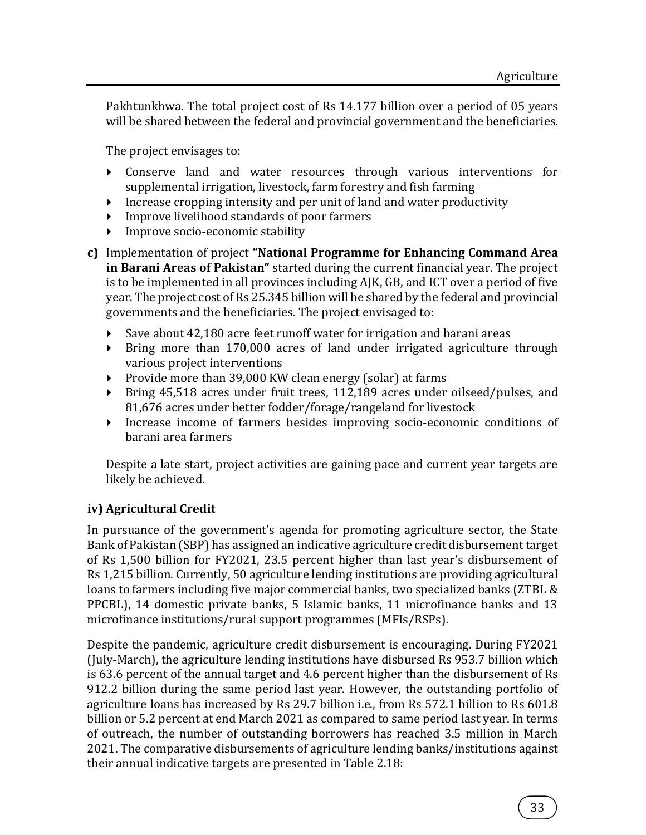Pakhtunkhwa. The total project cost of Rs 14.177 billion over a period of 05 years will be shared between the federal and provincial government and the beneficiaries.

The project envisages to:

- Conserve land and water resources through various interventions for supplemental irrigation, livestock, farm forestry and fish farming
- Increase cropping intensity and per unit of land and water productivity
- Improve livelihood standards of poor farmers
- Improve socio-economic stability
- **c)** Implementation of project **"National Programme for Enhancing Command Area in Barani Areas of Pakistan"** started during the current financial year. The project is to be implemented in all provinces including AJK, GB, and ICT over a period of five year. The project cost of Rs 25.345 billion will be shared by the federal and provincial governments and the beneficiaries. The project envisaged to:
	- Save about 42,180 acre feet runoff water for irrigation and barani areas
	- Bring more than 170,000 acres of land under irrigated agriculture through various project interventions
	- Provide more than 39,000 KW clean energy (solar) at farms
	- Bring 45,518 acres under fruit trees, 112,189 acres under oilseed/pulses, and 81,676 acres under better fodder/forage/rangeland for livestock
	- Increase income of farmers besides improving socio-economic conditions of barani area farmers

Despite a late start, project activities are gaining pace and current year targets are likely be achieved.

## **iv) Agricultural Credit**

In pursuance of the government's agenda for promoting agriculture sector, the State Bank of Pakistan (SBP) has assigned an indicative agriculture credit disbursement target of Rs 1,500 billion for FY2021, 23.5 percent higher than last year's disbursement of Rs 1,215 billion. Currently, 50 agriculture lending institutions are providing agricultural loans to farmers including five major commercial banks, two specialized banks (ZTBL & PPCBL), 14 domestic private banks, 5 Islamic banks, 11 microfinance banks and 13 microfinance institutions/rural support programmes (MFIs/RSPs).

Despite the pandemic, agriculture credit disbursement is encouraging. During FY2021 (July-March), the agriculture lending institutions have disbursed Rs 953.7 billion which is 63.6 percent of the annual target and 4.6 percent higher than the disbursement of Rs 912.2 billion during the same period last year. However, the outstanding portfolio of agriculture loans has increased by Rs 29.7 billion i.e., from Rs 572.1 billion to Rs 601.8 billion or 5.2 percent at end March 2021 as compared to same period last year. In terms of outreach, the number of outstanding borrowers has reached 3.5 million in March 2021. The comparative disbursements of agriculture lending banks/institutions against their annual indicative targets are presented in Table 2.18: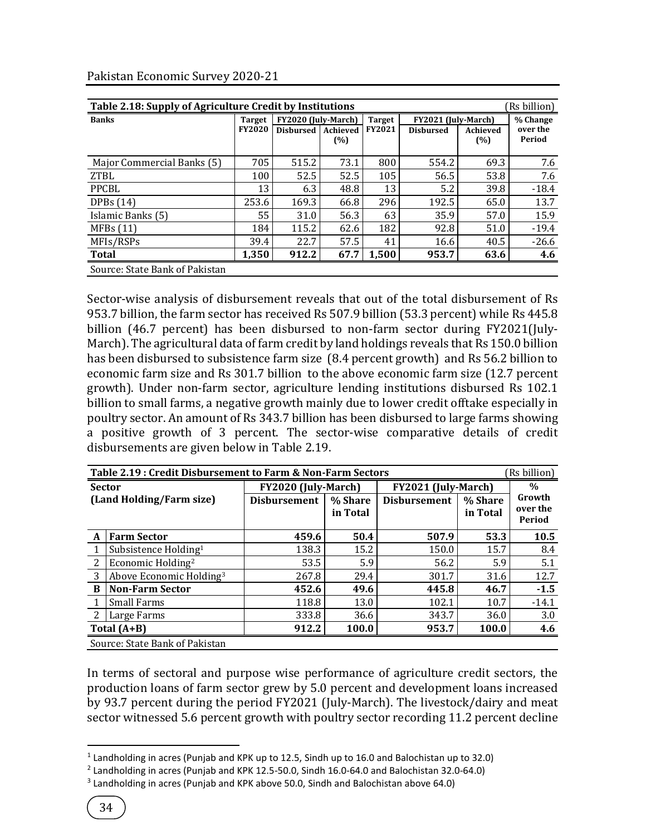| Table 2.18: Supply of Agriculture Credit by Institutions<br>(Rs billion) |                                |                                             |      |                                |                                         |                 |                                |  |  |
|--------------------------------------------------------------------------|--------------------------------|---------------------------------------------|------|--------------------------------|-----------------------------------------|-----------------|--------------------------------|--|--|
| <b>Banks</b>                                                             | <b>Target</b><br><b>FY2020</b> | FY2020 (July-March)<br>Disbursed   Achieved | (%)  | <b>Target</b><br><b>FY2021</b> | FY2021 (July-March)<br><b>Disbursed</b> | Achieved<br>(%) | % Change<br>over the<br>Period |  |  |
| Major Commercial Banks (5)                                               | 705                            | 515.2                                       | 73.1 | 800                            | 554.2                                   | 69.3            | 7.6                            |  |  |
| <b>ZTBL</b>                                                              | 100                            | 52.5                                        | 52.5 | 105                            | 56.5                                    | 53.8            | 7.6                            |  |  |
| <b>PPCBL</b>                                                             | 13                             | 6.3                                         | 48.8 | 13                             | 5.2                                     | 39.8            | $-18.4$                        |  |  |
| DPBs $(14)$                                                              | 253.6                          | 169.3                                       | 66.8 | 296                            | 192.5                                   | 65.0            | 13.7                           |  |  |
| Islamic Banks (5)                                                        | 55                             | 31.0                                        | 56.3 | 63                             | 35.9                                    | 57.0            | 15.9                           |  |  |
| MFBs(11)                                                                 | 184                            | 115.2                                       | 62.6 | 182                            | 92.8                                    | 51.0            | $-19.4$                        |  |  |
| MFIs/RSPs                                                                | 39.4                           | 22.7                                        | 57.5 | 41                             | 16.6                                    | 40.5            | $-26.6$                        |  |  |
| <b>Total</b>                                                             | 1,350                          | 912.2                                       | 67.7 | 1,500                          | 953.7                                   | 63.6            | 4.6                            |  |  |
| Source: State Bank of Pakistan                                           |                                |                                             |      |                                |                                         |                 |                                |  |  |

Pakistan Economic Survey 2020-21

Sector-wise analysis of disbursement reveals that out of the total disbursement of Rs 953.7 billion, the farm sector has received Rs 507.9 billion (53.3 percent) while Rs 445.8 billion (46.7 percent) has been disbursed to non-farm sector during FY2021(July-March). The agricultural data of farm credit by land holdings reveals that Rs 150.0 billion has been disbursed to subsistence farm size (8.4 percent growth) and Rs 56.2 billion to economic farm size and Rs 301.7 billion to the above economic farm size (12.7 percent growth). Under non-farm sector, agriculture lending institutions disbursed Rs 102.1 billion to small farms, a negative growth mainly due to lower credit offtake especially in poultry sector. An amount of Rs 343.7 billion has been disbursed to large farms showing a positive growth of 3 percent. The sector-wise comparative details of credit disbursements are given below in Table 2.19.

|                          | Table 2.19: Credit Disbursement to Farm & Non-Farm Sectors<br>(Rs billion) |                     |                     |                     |                     |                    |  |  |  |
|--------------------------|----------------------------------------------------------------------------|---------------------|---------------------|---------------------|---------------------|--------------------|--|--|--|
| <b>Sector</b>            |                                                                            | FY2020 (July-March) |                     | FY2021 (July-March) | $\frac{0}{0}$       |                    |  |  |  |
| (Land Holding/Farm size) |                                                                            | <b>Disbursement</b> | % Share<br>in Total | <b>Disbursement</b> | % Share<br>in Total | Growth<br>over the |  |  |  |
|                          |                                                                            |                     |                     |                     |                     | Period             |  |  |  |
| A                        | <b>Farm Sector</b>                                                         | 459.6               | 50.4                | 507.9               | 53.3                | 10.5               |  |  |  |
|                          | Subsistence Holding <sup>1</sup>                                           | 138.3               | 15.2                | 150.0               | 15.7                | 8.4                |  |  |  |
| 2                        | Economic Holding <sup>2</sup>                                              | 53.5                | 5.9                 | 56.2                | 5.9                 | 5.1                |  |  |  |
| 3                        | Above Economic Holding <sup>3</sup>                                        | 267.8               | 29.4                | 301.7               | 31.6                | 12.7               |  |  |  |
| B                        | <b>Non-Farm Sector</b>                                                     | 452.6               | 49.6                | 445.8               | 46.7                | $-1.5$             |  |  |  |
|                          | <b>Small Farms</b>                                                         | 118.8               | 13.0                | 102.1               | 10.7                | $-14.1$            |  |  |  |
|                          | Large Farms                                                                | 333.8               | 36.6                | 343.7               | 36.0                | 3.0                |  |  |  |
|                          | Total $(A+B)$                                                              | 912.2               | 100.0               | 953.7               | 100.0               | 4.6                |  |  |  |
|                          | Source: State Bank of Pakistan                                             |                     |                     |                     |                     |                    |  |  |  |

In terms of sectoral and purpose wise performance of agriculture credit sectors, the production loans of farm sector grew by 5.0 percent and development loans increased by 93.7 percent during the period FY2021 (July-March). The livestock/dairy and meat sector witnessed 5.6 percent growth with poultry sector recording 11.2 percent decline

 $\overline{a}$ 

 $<sup>1</sup>$  Landholding in acres (Punjab and KPK up to 12.5, Sindh up to 16.0 and Balochistan up to 32.0)</sup>

 $^2$  Landholding in acres (Punjab and KPK 12.5-50.0, Sindh 16.0-64.0 and Balochistan 32.0-64.0)

<sup>&</sup>lt;sup>3</sup> Landholding in acres (Punjab and KPK above 50.0, Sindh and Balochistan above 64.0)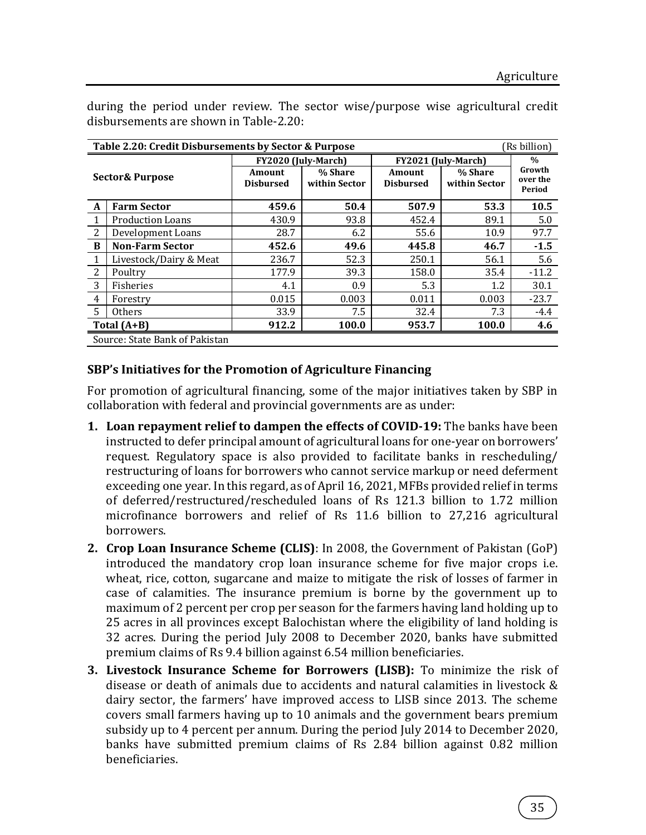|                | Table 2.20: Credit Disbursements by Sector & Purpose<br>(Rs billion) |                            |                          |                            |                          |                              |  |  |  |
|----------------|----------------------------------------------------------------------|----------------------------|--------------------------|----------------------------|--------------------------|------------------------------|--|--|--|
|                |                                                                      |                            | FY2020 (July-March)      | FY2021 (July-March)        | $\frac{0}{0}$            |                              |  |  |  |
|                | <b>Sector&amp; Purpose</b>                                           | Amount<br><b>Disbursed</b> | % Share<br>within Sector | Amount<br><b>Disbursed</b> | % Share<br>within Sector | Growth<br>over the<br>Period |  |  |  |
| A              | <b>Farm Sector</b>                                                   | 459.6                      | 50.4                     | 507.9                      | 53.3                     | 10.5                         |  |  |  |
|                | <b>Production Loans</b>                                              | 430.9                      | 93.8                     | 452.4                      | 89.1                     | 5.0                          |  |  |  |
| 2              | Development Loans                                                    | 28.7                       | 6.2                      | 55.6                       | 10.9                     | 97.7                         |  |  |  |
| B              | <b>Non-Farm Sector</b>                                               | 452.6                      | 49.6                     | 445.8                      | 46.7                     | $-1.5$                       |  |  |  |
| 1              | Livestock/Dairy & Meat                                               | 236.7                      | 52.3                     | 250.1                      | 56.1                     | 5.6                          |  |  |  |
| $\overline{2}$ | Poultry                                                              | 177.9                      | 39.3                     | 158.0                      | 35.4                     | $-11.2$                      |  |  |  |
| 3              | Fisheries                                                            | 4.1                        | 0.9                      | 5.3                        | 1.2                      | 30.1                         |  |  |  |
| 4              | Forestry                                                             | 0.015                      | 0.003                    | 0.011                      | 0.003                    | $-23.7$                      |  |  |  |
| 5              | <b>Others</b>                                                        | 33.9                       | 7.5                      | 32.4                       | 7.3                      | $-4.4$                       |  |  |  |
|                | Total $(A+B)$                                                        | 912.2                      | 100.0                    | 953.7                      | 100.0                    | 4.6                          |  |  |  |
|                | Source: State Bank of Pakistan                                       |                            |                          |                            |                          |                              |  |  |  |

during the period under review. The sector wise/purpose wise agricultural credit disbursements are shown in Table-2.20:

## **SBP's Initiatives for the Promotion of Agriculture Financing**

For promotion of agricultural financing, some of the major initiatives taken by SBP in collaboration with federal and provincial governments are as under:

- **1. Loan repayment relief to dampen the effects of COVID-19:** The banks have been instructed to defer principal amount of agricultural loans for one-year on borrowers' request. Regulatory space is also provided to facilitate banks in rescheduling/ restructuring of loans for borrowers who cannot service markup or need deferment exceeding one year. In this regard, as of April 16, 2021, MFBs provided relief in terms of deferred/restructured/rescheduled loans of Rs 121.3 billion to 1.72 million microfinance borrowers and relief of Rs 11.6 billion to 27,216 agricultural borrowers.
- **2. Crop Loan Insurance Scheme (CLIS)**: In 2008, the Government of Pakistan (GoP) introduced the mandatory crop loan insurance scheme for five major crops i.e. wheat, rice, cotton, sugarcane and maize to mitigate the risk of losses of farmer in case of calamities. The insurance premium is borne by the government up to maximum of 2 percent per crop per season for the farmers having land holding up to 25 acres in all provinces except Balochistan where the eligibility of land holding is 32 acres. During the period July 2008 to December 2020, banks have submitted premium claims of Rs 9.4 billion against 6.54 million beneficiaries.
- **3. Livestock Insurance Scheme for Borrowers (LISB):** To minimize the risk of disease or death of animals due to accidents and natural calamities in livestock & dairy sector, the farmers' have improved access to LISB since 2013. The scheme covers small farmers having up to 10 animals and the government bears premium subsidy up to 4 percent per annum. During the period July 2014 to December 2020, banks have submitted premium claims of Rs 2.84 billion against 0.82 million beneficiaries.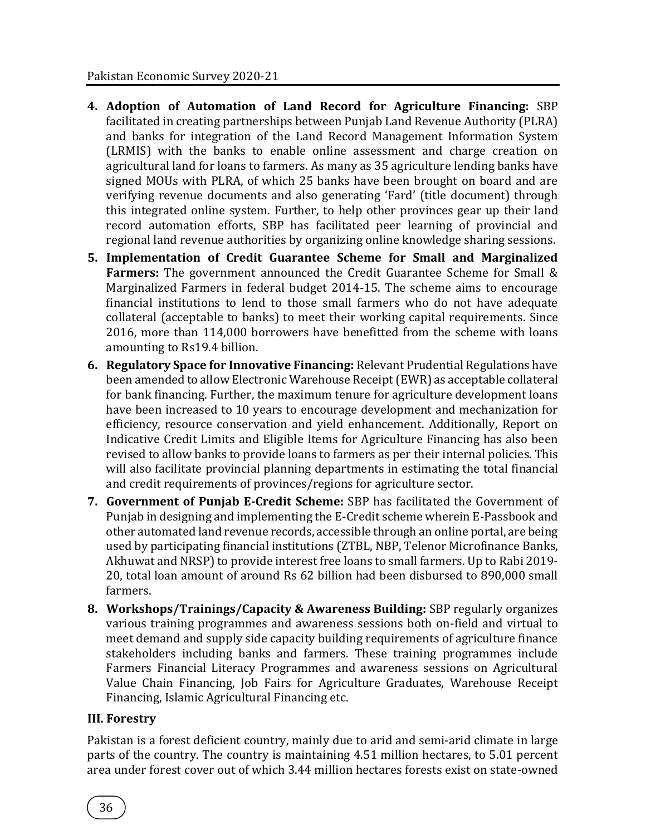- **4. Adoption of Automation of Land Record for Agriculture Financing:** SBP facilitated in creating partnerships between Punjab Land Revenue Authority (PLRA) and banks for integration of the Land Record Management Information System (LRMIS) with the banks to enable online assessment and charge creation on agricultural land for loans to farmers. As many as 35 agriculture lending banks have signed MOUs with PLRA, of which 25 banks have been brought on board and are verifying revenue documents and also generating 'Fard' (title document) through this integrated online system. Further, to help other provinces gear up their land record automation efforts, SBP has facilitated peer learning of provincial and regional land revenue authorities by organizing online knowledge sharing sessions.
- **5. Implementation of Credit Guarantee Scheme for Small and Marginalized Farmers:** The government announced the Credit Guarantee Scheme for Small & Marginalized Farmers in federal budget 2014-15. The scheme aims to encourage financial institutions to lend to those small farmers who do not have adequate collateral (acceptable to banks) to meet their working capital requirements. Since 2016, more than 114,000 borrowers have benefitted from the scheme with loans amounting to Rs19.4 billion.
- **6. Regulatory Space for Innovative Financing:** Relevant Prudential Regulations have been amended to allow Electronic Warehouse Receipt (EWR) as acceptable collateral for bank financing. Further, the maximum tenure for agriculture development loans have been increased to 10 years to encourage development and mechanization for efficiency, resource conservation and yield enhancement. Additionally, Report on Indicative Credit Limits and Eligible Items for Agriculture Financing has also been revised to allow banks to provide loans to farmers as per their internal policies. This will also facilitate provincial planning departments in estimating the total financial and credit requirements of provinces/regions for agriculture sector.
- **7. Government of Punjab E-Credit Scheme:** SBP has facilitated the Government of Punjab in designing and implementing the E-Credit scheme wherein E-Passbook and other automated land revenue records, accessible through an online portal, are being used by participating financial institutions (ZTBL, NBP, Telenor Microfinance Banks, Akhuwat and NRSP) to provide interest free loans to small farmers. Up to Rabi 2019- 20, total loan amount of around Rs 62 billion had been disbursed to 890,000 small farmers.
- **8. Workshops/Trainings/Capacity & Awareness Building:** SBP regularly organizes various training programmes and awareness sessions both on-field and virtual to meet demand and supply side capacity building requirements of agriculture finance stakeholders including banks and farmers. These training programmes include Farmers Financial Literacy Programmes and awareness sessions on Agricultural Value Chain Financing, Job Fairs for Agriculture Graduates, Warehouse Receipt Financing, Islamic Agricultural Financing etc.

## **III. Forestry**

Pakistan is a forest deficient country, mainly due to arid and semi-arid climate in large parts of the country. The country is maintaining 4.51 million hectares, to 5.01 percent area under forest cover out of which 3.44 million hectares forests exist on state-owned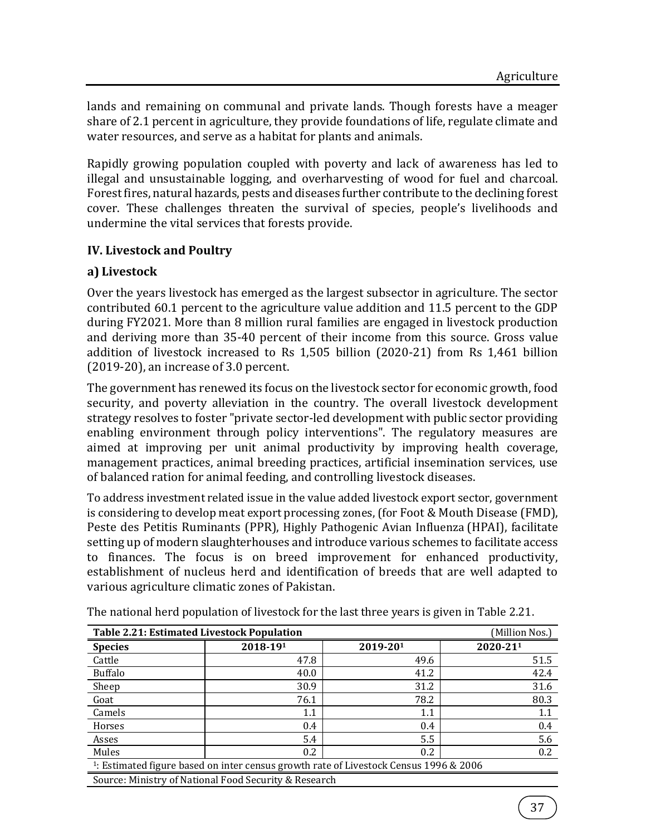lands and remaining on communal and private lands. Though forests have a meager share of 2.1 percent in agriculture, they provide foundations of life, regulate climate and water resources, and serve as a habitat for plants and animals.

Rapidly growing population coupled with poverty and lack of awareness has led to illegal and unsustainable logging, and overharvesting of wood for fuel and charcoal. Forest fires, natural hazards, pests and diseases further contribute to the declining forest cover. These challenges threaten the survival of species, people's livelihoods and undermine the vital services that forests provide.

## **IV. Livestock and Poultry**

## **a) Livestock**

Over the years livestock has emerged as the largest subsector in agriculture. The sector contributed 60.1 percent to the agriculture value addition and 11.5 percent to the GDP during FY2021. More than 8 million rural families are engaged in livestock production and deriving more than 35-40 percent of their income from this source. Gross value addition of livestock increased to Rs 1,505 billion (2020-21) from Rs 1,461 billion (2019-20), an increase of 3.0 percent.

The government has renewed its focus on the livestock sector for economic growth, food security, and poverty alleviation in the country. The overall livestock development strategy resolves to foster "private sector-led development with public sector providing enabling environment through policy interventions". The regulatory measures are aimed at improving per unit animal productivity by improving health coverage, management practices, animal breeding practices, artificial insemination services, use of balanced ration for animal feeding, and controlling livestock diseases.

To address investment related issue in the value added livestock export sector, government is considering to develop meat export processing zones, (for Foot & Mouth Disease (FMD), Peste des Petitis Ruminants (PPR), [Highly Pathogenic Avian Influenza](https://www.cdc.gov/flu/avianflu/h5n1-animals.htm) (HPAI), facilitate setting up of modern slaughterhouses and introduce various schemes to facilitate access to finances. The focus is on breed improvement for enhanced productivity, establishment of nucleus herd and identification of breeds that are well adapted to various agriculture climatic zones of Pakistan.

|                                                                                                   | <b>Table 2.21: Estimated Livestock Population</b><br>(Million Nos.) |          |          |  |  |  |  |  |
|---------------------------------------------------------------------------------------------------|---------------------------------------------------------------------|----------|----------|--|--|--|--|--|
| <b>Species</b>                                                                                    | 2018-191                                                            | 2019-201 | 2020-211 |  |  |  |  |  |
| Cattle                                                                                            | 47.8                                                                | 49.6     | 51.5     |  |  |  |  |  |
| Buffalo                                                                                           | 40.0                                                                | 41.2     | 42.4     |  |  |  |  |  |
| Sheep                                                                                             | 30.9                                                                | 31.2     | 31.6     |  |  |  |  |  |
| Goat                                                                                              | 76.1                                                                | 78.2     | 80.3     |  |  |  |  |  |
| Camels                                                                                            | 1.1                                                                 | 1.1      | 1.1      |  |  |  |  |  |
| Horses                                                                                            | 0.4                                                                 | 0.4      | 0.4      |  |  |  |  |  |
| Asses                                                                                             | 5.4                                                                 | 5.5      | 5.6      |  |  |  |  |  |
| Mules                                                                                             | $0.2^{\circ}$                                                       | 0.2      | 0.2      |  |  |  |  |  |
| <sup>1</sup> : Estimated figure based on inter census growth rate of Livestock Census 1996 & 2006 |                                                                     |          |          |  |  |  |  |  |
|                                                                                                   | Source: Ministry of National Food Security & Research               |          |          |  |  |  |  |  |

The national herd population of livestock for the last three years is given in Table 2.21.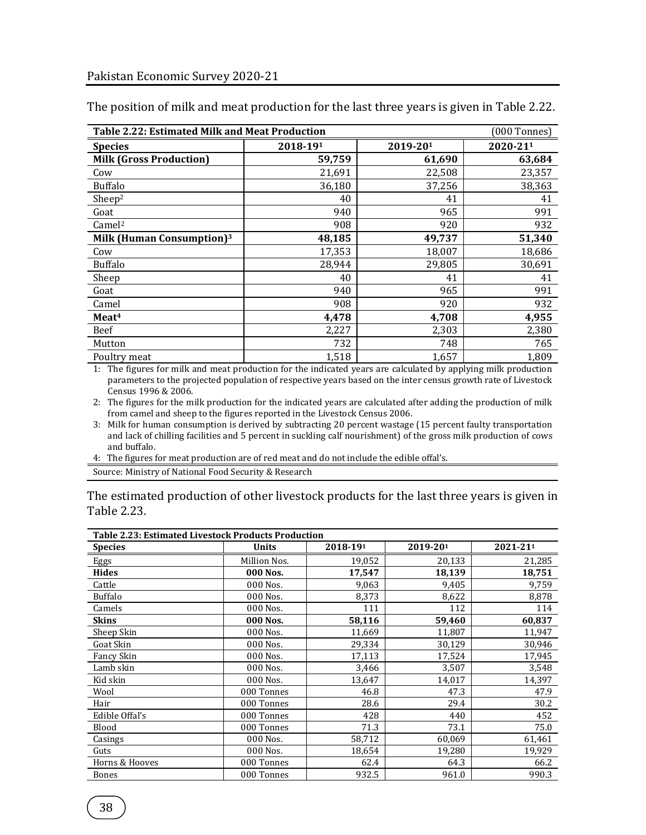| <b>Table 2.22: Estimated Milk and Meat Production</b><br>[000 Tonnes] |          |          |          |  |  |  |  |
|-----------------------------------------------------------------------|----------|----------|----------|--|--|--|--|
| <b>Species</b>                                                        | 2018-191 | 2019-201 | 2020-211 |  |  |  |  |
| <b>Milk (Gross Production)</b>                                        | 59,759   | 61,690   | 63,684   |  |  |  |  |
| Cow                                                                   | 21,691   | 22,508   | 23,357   |  |  |  |  |
| <b>Buffalo</b>                                                        | 36,180   | 37,256   | 38,363   |  |  |  |  |
| Sheep <sup>2</sup>                                                    | 40       | 41       | 41       |  |  |  |  |
| Goat                                                                  | 940      | 965      | 991      |  |  |  |  |
| Camel <sup>2</sup>                                                    | 908      | 920      | 932      |  |  |  |  |
| Milk (Human Consumption) <sup>3</sup>                                 | 48,185   | 49,737   | 51,340   |  |  |  |  |
| Cow                                                                   | 17,353   | 18,007   | 18,686   |  |  |  |  |
| <b>Buffalo</b>                                                        | 28,944   | 29,805   | 30,691   |  |  |  |  |
| Sheep                                                                 | 40       | 41       | 41       |  |  |  |  |
| Goat                                                                  | 940      | 965      | 991      |  |  |  |  |
| Camel                                                                 | 908      | 920      | 932      |  |  |  |  |
| Meat <sup>4</sup>                                                     | 4,478    | 4,708    | 4,955    |  |  |  |  |
| Beef                                                                  | 2,227    | 2,303    | 2,380    |  |  |  |  |
| Mutton                                                                | 732      | 748      | 765      |  |  |  |  |
| Poultry meat                                                          | 1,518    | 1,657    | 1,809    |  |  |  |  |

The position of milk and meat production for the last three years is given in Table 2.22.

1: The figures for milk and meat production for the indicated years are calculated by applying milk production parameters to the projected population of respective years based on the inter census growth rate of Livestock Census 1996 & 2006.

2: The figures for the milk production for the indicated years are calculated after adding the production of milk from camel and sheep to the figures reported in the Livestock Census 2006.

3: Milk for human consumption is derived by subtracting 20 percent wastage (15 percent faulty transportation and lack of chilling facilities and 5 percent in suckling calf nourishment) of the gross milk production of cows and buffalo.

4: The figures for meat production are of red meat and do not include the edible offal's.

Source: Ministry of National Food Security & Research

The estimated production of other livestock products for the last three years is given in Table 2.23.

| <b>Table 2.23: Estimated Livestock Products Production</b> |              |          |          |          |  |  |  |
|------------------------------------------------------------|--------------|----------|----------|----------|--|--|--|
| <b>Species</b>                                             | <b>Units</b> | 2018-191 | 2019-201 | 2021-211 |  |  |  |
| Eggs                                                       | Million Nos. | 19,052   | 20,133   | 21,285   |  |  |  |
| <b>Hides</b>                                               | 000 Nos.     | 17,547   | 18,139   | 18,751   |  |  |  |
| Cattle                                                     | 000 Nos.     | 9,063    | 9,405    | 9,759    |  |  |  |
| <b>Buffalo</b>                                             | 000 Nos.     | 8,373    | 8,622    | 8,878    |  |  |  |
| Camels                                                     | 000 Nos.     | 111      | 112      | 114      |  |  |  |
| <b>Skins</b>                                               | 000 Nos.     | 58,116   | 59,460   | 60,837   |  |  |  |
| Sheep Skin                                                 | 000 Nos.     | 11,669   | 11,807   | 11,947   |  |  |  |
| Goat Skin                                                  | 000 Nos.     | 29,334   | 30,129   | 30,946   |  |  |  |
| Fancy Skin                                                 | 000 Nos.     | 17,113   | 17,524   | 17,945   |  |  |  |
| Lamb skin                                                  | 000 Nos.     | 3,466    | 3,507    | 3,548    |  |  |  |
| Kid skin                                                   | 000 Nos.     | 13,647   | 14,017   | 14,397   |  |  |  |
| Wool                                                       | 000 Tonnes   | 46.8     | 47.3     | 47.9     |  |  |  |
| Hair                                                       | 000 Tonnes   | 28.6     | 29.4     | 30.2     |  |  |  |
| Edible Offal's                                             | 000 Tonnes   | 428      | 440      | 452      |  |  |  |
| Blood                                                      | 000 Tonnes   | 71.3     | 73.1     | 75.0     |  |  |  |
| Casings                                                    | 000 Nos.     | 58,712   | 60,069   | 61,461   |  |  |  |
| Guts                                                       | 000 Nos.     | 18,654   | 19,280   | 19,929   |  |  |  |
| Horns & Hooves                                             | 000 Tonnes   | 62.4     | 64.3     | 66.2     |  |  |  |
| <b>Bones</b>                                               | 000 Tonnes   | 932.5    | 961.0    | 990.3    |  |  |  |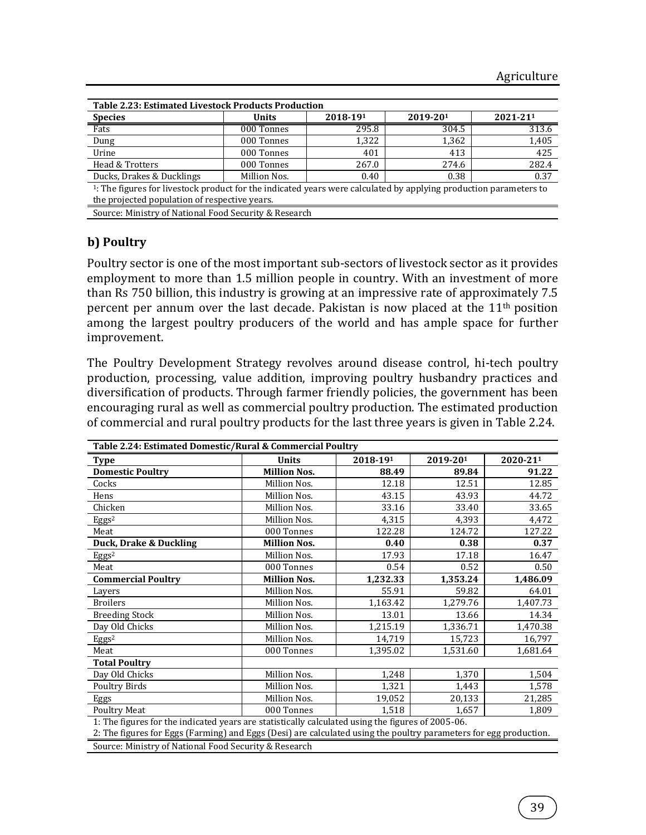| <b>Table 2.23: Estimated Livestock Products Production</b>                                                                    |              |          |          |          |  |  |  |
|-------------------------------------------------------------------------------------------------------------------------------|--------------|----------|----------|----------|--|--|--|
| <b>Species</b>                                                                                                                | <b>Units</b> | 2018-191 | 2019-201 | 2021-211 |  |  |  |
| Fats                                                                                                                          | 000 Tonnes   | 295.8    | 304.5    | 313.6    |  |  |  |
| Dung                                                                                                                          | 000 Tonnes   | 1,322    | 1,362    | 1,405    |  |  |  |
| Urine                                                                                                                         | 000 Tonnes   | 401      | 413      | 425      |  |  |  |
| Head & Trotters                                                                                                               | 000 Tonnes   | 267.0    | 274.6    | 282.4    |  |  |  |
| Ducks, Drakes & Ducklings                                                                                                     | Million Nos. | 0.40     | 0.38     | 0.37     |  |  |  |
| <sup>1</sup> : The figures for livestock product for the indicated years were calculated by applying production parameters to |              |          |          |          |  |  |  |
| the projected population of respective years.                                                                                 |              |          |          |          |  |  |  |
| $\alpha$ is the set of the set of the set of $\alpha$                                                                         |              |          |          |          |  |  |  |

#### Source: Ministry of National Food Security & Research

#### **b) Poultry**

Poultry sector is one of the most important sub-sectors of livestock sector as it provides employment to more than 1.5 million people in country. With an investment of more than Rs 750 billion, this industry is growing at an impressive rate of approximately 7.5 percent per annum over the last decade. Pakistan is now placed at the 11th position among the largest poultry producers of the world and has ample space for further improvement.

The Poultry Development Strategy revolves around disease control, hi-tech poultry production, processing, value addition, improving poultry husbandry practices and diversification of products. Through farmer friendly policies, the government has been encouraging rural as well as commercial poultry production. The estimated production of commercial and rural poultry products for the last three years is given in Table 2.24.

| Table 2.24: Estimated Domestic/Rural & Commercial Poultry                                                         |                     |          |          |          |  |  |  |
|-------------------------------------------------------------------------------------------------------------------|---------------------|----------|----------|----------|--|--|--|
| <b>Type</b>                                                                                                       | <b>Units</b>        | 2018-191 | 2019-201 | 2020-211 |  |  |  |
| <b>Domestic Poultry</b>                                                                                           | <b>Million Nos.</b> | 88.49    | 89.84    | 91.22    |  |  |  |
| Cocks                                                                                                             | Million Nos.        | 12.18    | 12.51    | 12.85    |  |  |  |
| Hens                                                                                                              | Million Nos.        | 43.15    | 43.93    | 44.72    |  |  |  |
| Chicken                                                                                                           | Million Nos.        | 33.16    | 33.40    | 33.65    |  |  |  |
| Eggs <sup>2</sup>                                                                                                 | Million Nos.        | 4,315    | 4,393    | 4,472    |  |  |  |
| Meat                                                                                                              | 000 Tonnes          | 122.28   | 124.72   | 127.22   |  |  |  |
| Duck, Drake & Duckling                                                                                            | <b>Million Nos.</b> | 0.40     | 0.38     | 0.37     |  |  |  |
| Eggs <sup>2</sup>                                                                                                 | Million Nos.        | 17.93    | 17.18    | 16.47    |  |  |  |
| Meat                                                                                                              | 000 Tonnes          | 0.54     | 0.52     | 0.50     |  |  |  |
| <b>Commercial Poultry</b>                                                                                         | <b>Million Nos.</b> | 1,232.33 | 1,353.24 | 1,486.09 |  |  |  |
| Layers                                                                                                            | Million Nos.        | 55.91    | 59.82    | 64.01    |  |  |  |
| <b>Broilers</b>                                                                                                   | Million Nos.        | 1,163.42 | 1,279.76 | 1,407.73 |  |  |  |
| <b>Breeding Stock</b>                                                                                             | Million Nos.        | 13.01    | 13.66    | 14.34    |  |  |  |
| Day Old Chicks                                                                                                    | Million Nos.        | 1,215.19 | 1,336.71 | 1,470.38 |  |  |  |
| Eggs <sup>2</sup>                                                                                                 | Million Nos.        | 14,719   | 15,723   | 16,797   |  |  |  |
| Meat                                                                                                              | 000 Tonnes          | 1,395.02 | 1,531.60 | 1,681.64 |  |  |  |
| <b>Total Poultry</b>                                                                                              |                     |          |          |          |  |  |  |
| Day Old Chicks                                                                                                    | Million Nos.        | 1,248    | 1,370    | 1,504    |  |  |  |
| Poultry Birds                                                                                                     | Million Nos.        | 1,321    | 1,443    | 1,578    |  |  |  |
| Eggs                                                                                                              | Million Nos.        | 19,052   | 20,133   | 21,285   |  |  |  |
| <b>Poultry Meat</b>                                                                                               | 000 Tonnes          | 1,518    | 1,657    | 1,809    |  |  |  |
| 1: The figures for the indicated years are statistically calculated using the figures of 2005-06.                 |                     |          |          |          |  |  |  |
| 2: The figures for Eggs (Farming) and Eggs (Desi) are calculated using the poultry parameters for egg production. |                     |          |          |          |  |  |  |

Source: Ministry of National Food Security & Research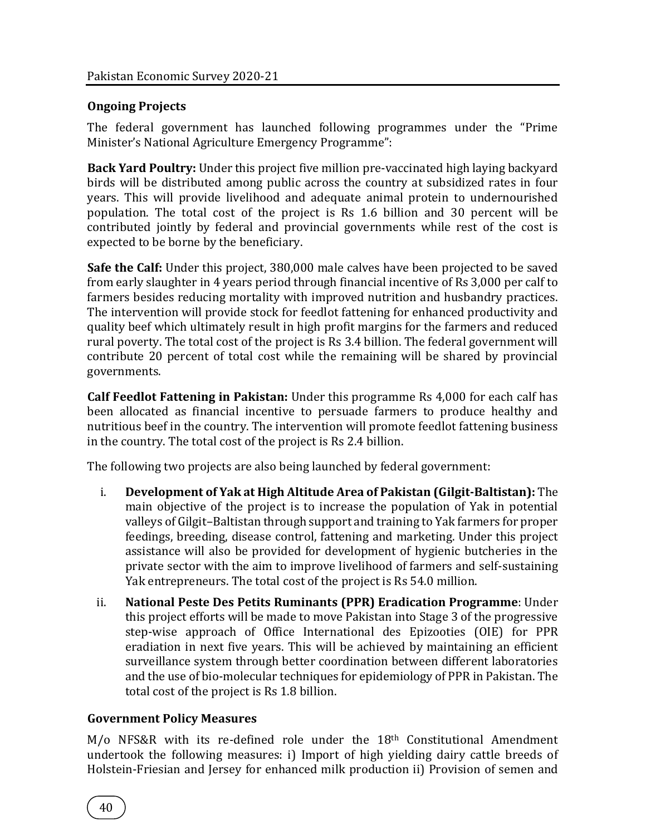#### **Ongoing Projects**

The federal government has launched following programmes under the "Prime Minister's National Agriculture Emergency Programme":

**Back Yard Poultry:** Under this project five million pre-vaccinated high laying backyard birds will be distributed among public across the country at subsidized rates in four years. This will provide livelihood and adequate animal protein to undernourished population. The total cost of the project is Rs 1.6 billion and 30 percent will be contributed jointly by federal and provincial governments while rest of the cost is expected to be borne by the beneficiary.

**Safe the Calf:** Under this project, 380,000 male calves have been projected to be saved from early slaughter in 4 years period through financial incentive of Rs 3,000 per calf to farmers besides reducing mortality with improved nutrition and husbandry practices. The intervention will provide stock for feedlot fattening for enhanced productivity and quality beef which ultimately result in high profit margins for the farmers and reduced rural poverty. The total cost of the project is Rs 3.4 billion. The federal government will contribute 20 percent of total cost while the remaining will be shared by provincial governments.

**Calf Feedlot Fattening in Pakistan:** Under this programme Rs 4,000 for each calf has been allocated as financial incentive to persuade farmers to produce healthy and nutritious beef in the country. The intervention will promote feedlot fattening business in the country. The total cost of the project is Rs 2.4 billion.

The following two projects are also being launched by federal government:

- i. **Development of Yak at High Altitude Area of Pakistan (Gilgit-Baltistan):** The main objective of the project is to increase the population of Yak in potential valleys of Gilgit–Baltistan through support and training to Yak farmers for proper feedings, breeding, disease control, fattening and marketing. Under this project assistance will also be provided for development of hygienic butcheries in the private sector with the aim to improve livelihood of farmers and self-sustaining Yak entrepreneurs. The total cost of the project is Rs 54.0 million.
- ii. **National Peste Des Petits Ruminants (PPR) Eradication Programme**: Under this project efforts will be made to move Pakistan into Stage 3 of the progressive step-wise approach of Office International des Epizooties (OIE) for PPR eradiation in next five years. This will be achieved by maintaining an efficient surveillance system through better coordination between different laboratories and the use of bio-molecular techniques for epidemiology of PPR in Pakistan. The total cost of the project is Rs 1.8 billion.

#### **Government Policy Measures**

M/0 NFS&R with its re-defined role under the 18<sup>th</sup> Constitutional Amendment undertook the following measures: i) Import of high yielding dairy cattle breeds of Holstein-Friesian and Jersey for enhanced milk production ii) Provision of semen and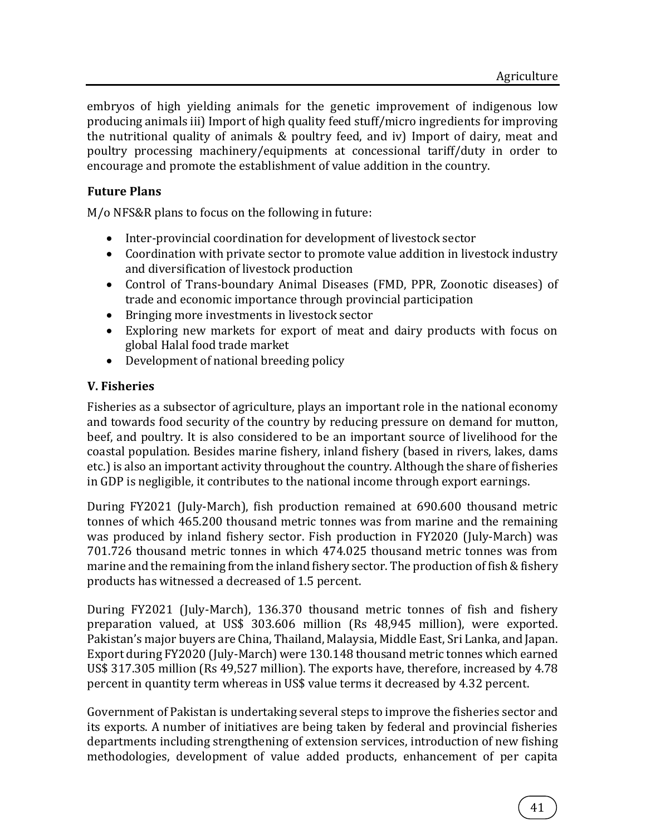embryos of high yielding animals for the genetic improvement of indigenous low producing animals iii) Import of high quality feed stuff/micro ingredients for improving the nutritional quality of animals & poultry feed, and iv) Import of dairy, meat and poultry processing machinery/equipments at concessional tariff/duty in order to encourage and promote the establishment of value addition in the country.

## **Future Plans**

M/o NFS&R plans to focus on the following in future:

- Inter-provincial coordination for development of livestock sector
- Coordination with private sector to promote value addition in livestock industry and diversification of livestock production
- Control of Trans-boundary Animal Diseases (FMD, PPR, Zoonotic diseases) of trade and economic importance through provincial participation
- Bringing more investments in livestock sector
- Exploring new markets for export of meat and dairy products with focus on global Halal food trade market
- Development of national breeding policy

## **V. Fisheries**

Fisheries as a subsector of agriculture, plays an important role in the national economy and towards food security of the country by reducing pressure on demand for mutton, beef, and poultry. It is also considered to be an important source of livelihood for the coastal population. Besides marine fishery, inland fishery (based in rivers, lakes, dams etc.) is also an important activity throughout the country. Although the share of fisheries in GDP is negligible, it contributes to the national income through export earnings.

During FY2021 (July-March), fish production remained at 690.600 thousand metric tonnes of which 465.200 thousand metric tonnes was from marine and the remaining was produced by inland fishery sector. Fish production in FY2020 (July-March) was 701.726 thousand metric tonnes in which 474.025 thousand metric tonnes was from marine and the remaining from the inland fishery sector. The production of fish & fishery products has witnessed a decreased of 1.5 percent.

During FY2021 (July-March), 136.370 thousand metric tonnes of fish and fishery preparation valued, at US\$ 303.606 million (Rs 48,945 million), were exported. Pakistan's major buyers are China, Thailand, Malaysia, Middle East, Sri Lanka, and Japan. Export during FY2020 (July-March) were 130.148 thousand metric tonnes which earned US\$ 317.305 million (Rs 49,527 million). The exports have, therefore, increased by 4.78 percent in quantity term whereas in US\$ value terms it decreased by 4.32 percent.

Government of Pakistan is undertaking several steps to improve the fisheries sector and its exports. A number of initiatives are being taken by federal and provincial fisheries departments including strengthening of extension services, introduction of new fishing methodologies, development of value added products, enhancement of per capita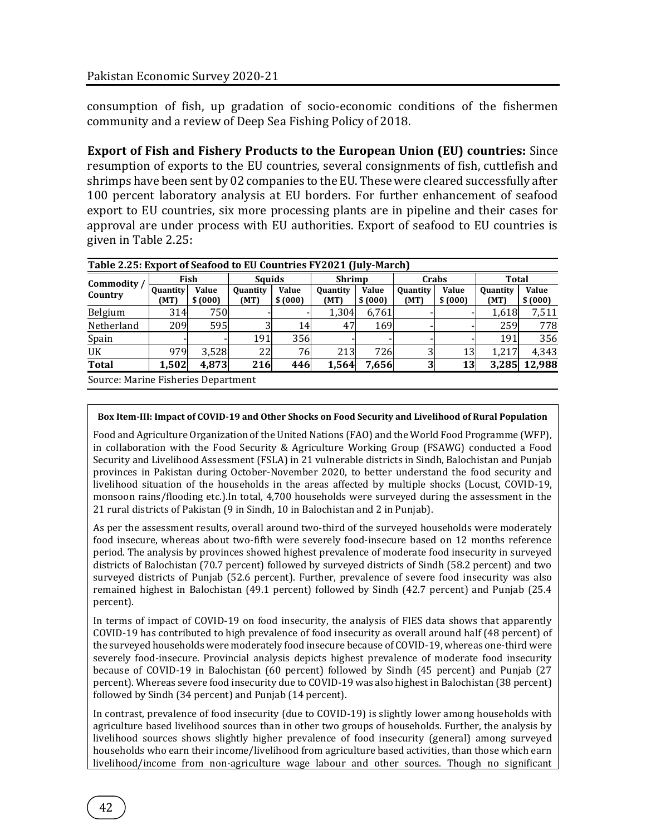consumption of fish, up gradation of socio-economic conditions of the fishermen community and a review of Deep Sea Fishing Policy of 2018.

**Export of Fish and Fishery Products to the European Union (EU) countries:** Since resumption of exports to the EU countries, several consignments of fish, cuttlefish and shrimps have been sent by 02 companies to the EU. These were cleared successfully after 100 percent laboratory analysis at EU borders. For further enhancement of seafood export to EU countries, six more processing plants are in pipeline and their cases for approval are under process with EU authorities. Export of seafood to EU countries is given in Table 2.25:

| Table 2.25: Export of Seafood to EU Countries FY2021 (July-March) |                         |                   |                         |                         |                         |                  |                         |                         |                         |                  |
|-------------------------------------------------------------------|-------------------------|-------------------|-------------------------|-------------------------|-------------------------|------------------|-------------------------|-------------------------|-------------------------|------------------|
| Commodity /<br>Country                                            | Fish                    |                   | <b>Squids</b>           |                         | <b>Shrimp</b>           |                  | Crabs                   |                         | Total                   |                  |
|                                                                   | <b>Quantity</b><br>(MT) | Value<br>\$ (000) | <b>Quantity</b><br>(MT) | <b>Value</b><br>\$(000) | <b>Quantity</b><br>(MT) | Value<br>\$(000) | <b>Quantity</b><br>(MT) | <b>Value</b><br>\$(000) | <b>Quantity</b><br>(MT) | Value<br>\$(000) |
| Belgium                                                           | 314                     | 750               |                         |                         | 1,304                   | 6,761            |                         |                         | 1,618                   | 7,511            |
| Netherland                                                        | 209                     | 595               | 3                       | 14                      | 47                      | 169              |                         |                         | 259                     | 778              |
| Spain                                                             |                         |                   | 191                     | 356                     |                         |                  |                         |                         | 191                     | 356              |
| UK                                                                | 979                     | 3,528             | 22                      | 76                      | 213                     | 726              | $\overline{3}$          | 13                      | 1.217                   | 4,343            |
| <b>Total</b>                                                      | 1,502                   | 4,873             | 216                     | 446                     | 1,564                   | 7,656            | 3                       | 13                      | 3,285                   | 12,988           |
| Source: Marine Fisheries Denartment                               |                         |                   |                         |                         |                         |                  |                         |                         |                         |                  |

Source: Marine Fisheries Department

#### **Box Item-III: Impact of COVID-19 and Other Shocks on Food Security and Livelihood of Rural Population**

Food and Agriculture Organization of the United Nations (FAO) and the World Food Programme (WFP), in collaboration with the Food Security & Agriculture Working Group (FSAWG) conducted a Food Security and Livelihood Assessment (FSLA) in 21 vulnerable districts in Sindh, Balochistan and Punjab provinces in Pakistan during October-November 2020, to better understand the food security and livelihood situation of the households in the areas affected by multiple shocks (Locust, COVID-19, monsoon rains/flooding etc.).In total, 4,700 households were surveyed during the assessment in the 21 rural districts of Pakistan (9 in Sindh, 10 in Balochistan and 2 in Punjab).

As per the assessment results, overall around two-third of the surveyed households were moderately food insecure, whereas about two-fifth were severely food-insecure based on 12 months reference period. The analysis by provinces showed highest prevalence of moderate food insecurity in surveyed districts of Balochistan (70.7 percent) followed by surveyed districts of Sindh (58.2 percent) and two surveyed districts of Punjab (52.6 percent). Further, prevalence of severe food insecurity was also remained highest in Balochistan (49.1 percent) followed by Sindh (42.7 percent) and Punjab (25.4 percent).

In terms of impact of COVID-19 on food insecurity, the analysis of FIES data shows that apparently COVID-19 has contributed to high prevalence of food insecurity as overall around half (48 percent) of the surveyed households were moderately food insecure because of COVID-19, whereas one-third were severely food-insecure. Provincial analysis depicts highest prevalence of moderate food insecurity because of COVID-19 in Balochistan (60 percent) followed by Sindh (45 percent) and Punjab (27 percent). Whereas severe food insecurity due to COVID-19 was also highest in Balochistan (38 percent) followed by Sindh (34 percent) and Punjab (14 percent).

In contrast, prevalence of food insecurity (due to COVID-19) is slightly lower among households with agriculture based livelihood sources than in other two groups of households. Further, the analysis by livelihood sources shows slightly higher prevalence of food insecurity (general) among surveyed households who earn their income/livelihood from agriculture based activities, than those which earn livelihood/income from non-agriculture wage labour and other sources. Though no significant